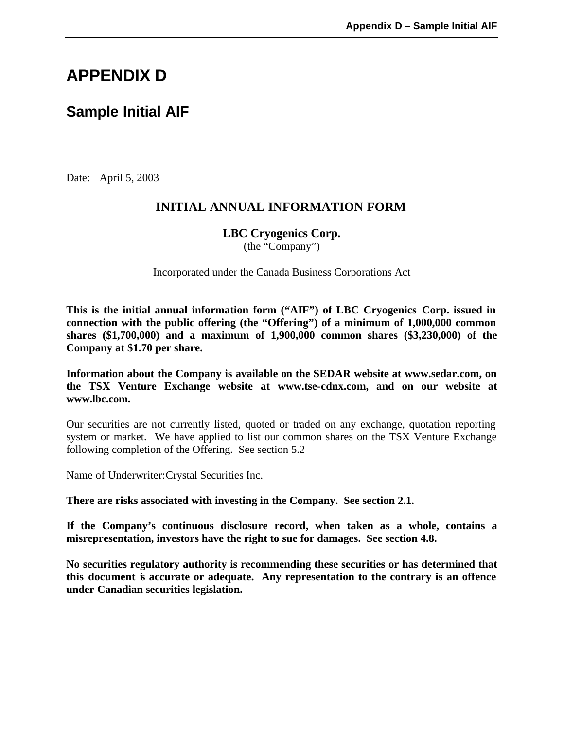# **APPENDIX D**

# **Sample Initial AIF**

Date: April 5, 2003

# **INITIAL ANNUAL INFORMATION FORM**

**LBC Cryogenics Corp.** 

(the "Company")

Incorporated under the Canada Business Corporations Act

**This is the initial annual information form ("AIF") of LBC Cryogenics Corp. issued in connection with the public offering (the "Offering") of a minimum of 1,000,000 common shares (\$1,700,000) and a maximum of 1,900,000 common shares (\$3,230,000) of the Company at \$1.70 per share.**

**Information about the Company is available on the SEDAR website at www.sedar.com, on the TSX Venture Exchange website at www.tse-cdnx.com, and on our website at www.lbc.com.**

Our securities are not currently listed, quoted or traded on any exchange, quotation reporting system or market. We have applied to list our common shares on the TSX Venture Exchange following completion of the Offering. See section 5.2

Name of Underwriter:Crystal Securities Inc.

**There are risks associated with investing in the Company. See section 2.1.** 

**If the Company's continuous disclosure record, when taken as a whole, contains a misrepresentation, investors have the right to sue for damages. See section 4.8.** 

**No securities regulatory authority is recommending these securities or has determined that this document is accurate or adequate. Any representation to the contrary is an offence under Canadian securities legislation.**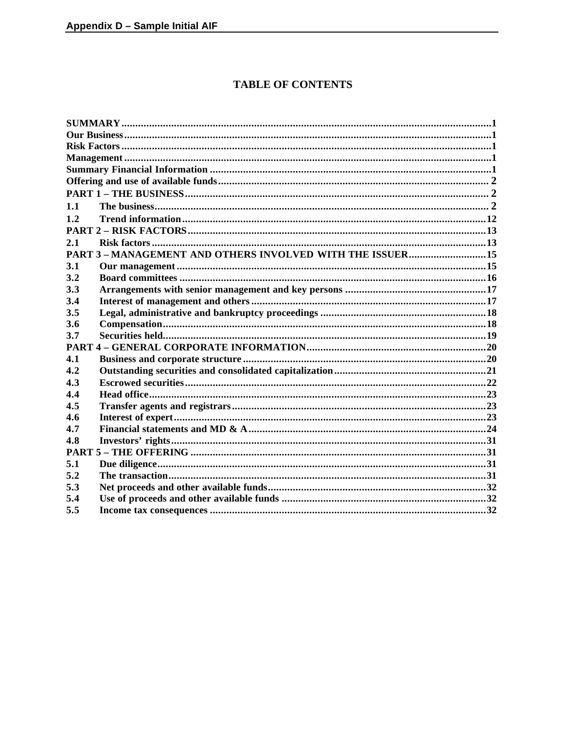# **TABLE OF CONTENTS**

| 1.1                                                     |  |
|---------------------------------------------------------|--|
| 1.2                                                     |  |
|                                                         |  |
| 2.1                                                     |  |
| PART 3-MANAGEMENT AND OTHERS INVOLVED WITH THE ISSUER15 |  |
| 3.1                                                     |  |
| 3.2                                                     |  |
| 3.3                                                     |  |
| 3.4                                                     |  |
| 3.5                                                     |  |
| 3.6                                                     |  |
| 3.7                                                     |  |
|                                                         |  |
| 4.1                                                     |  |
| 4.2                                                     |  |
| 4.3                                                     |  |
| 4.4                                                     |  |
| 4.5                                                     |  |
| 4.6                                                     |  |
| 4.7                                                     |  |
| 4.8                                                     |  |
|                                                         |  |
| 5.1                                                     |  |
| 5.2                                                     |  |
| 5.3                                                     |  |
| 5.4                                                     |  |
| 5.5                                                     |  |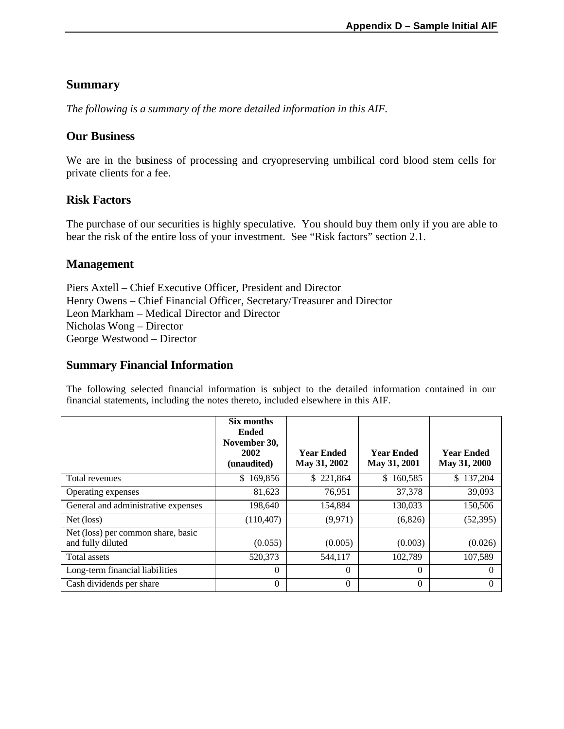# **Summary**

*The following is a summary of the more detailed information in this AIF.*

### **Our Business**

We are in the business of processing and cryopreserving umbilical cord blood stem cells for private clients for a fee.

### **Risk Factors**

The purchase of our securities is highly speculative. You should buy them only if you are able to bear the risk of the entire loss of your investment. See "Risk factors" section 2.1.

### **Management**

Piers Axtell – Chief Executive Officer, President and Director Henry Owens – Chief Financial Officer, Secretary/Treasurer and Director Leon Markham – Medical Director and Director Nicholas Wong – Director George Westwood – Director

### **Summary Financial Information**

The following selected financial information is subject to the detailed information contained in our financial statements, including the notes thereto, included elsewhere in this AIF.

|                                                         | Six months<br><b>Ended</b><br>November 30,<br>2002<br>(unaudited) | <b>Year Ended</b><br>May 31, 2002 | <b>Year Ended</b><br>May 31, 2001 | <b>Year Ended</b><br>May 31, 2000 |
|---------------------------------------------------------|-------------------------------------------------------------------|-----------------------------------|-----------------------------------|-----------------------------------|
| Total revenues                                          | 169,856<br>S.                                                     | \$221,864                         | \$160,585                         | \$137,204                         |
| Operating expenses                                      | 81.623                                                            | 76.951                            | 37,378                            | 39,093                            |
| General and administrative expenses                     | 198.640                                                           | 154,884                           | 130,033                           | 150,506                           |
| Net (loss)                                              | (110, 407)                                                        | (9,971)                           | (6,826)                           | (52, 395)                         |
| Net (loss) per common share, basic<br>and fully diluted | (0.055)                                                           | (0.005)                           | (0.003)                           | (0.026)                           |
| Total assets                                            | 520,373                                                           | 544,117                           | 102,789                           | 107,589                           |
| Long-term financial liabilities                         | $\Omega$                                                          | $\Omega$                          | $\Omega$                          | $\Omega$                          |
| Cash dividends per share                                | $\Omega$                                                          | $\Omega$                          | $\Omega$                          | $\Omega$                          |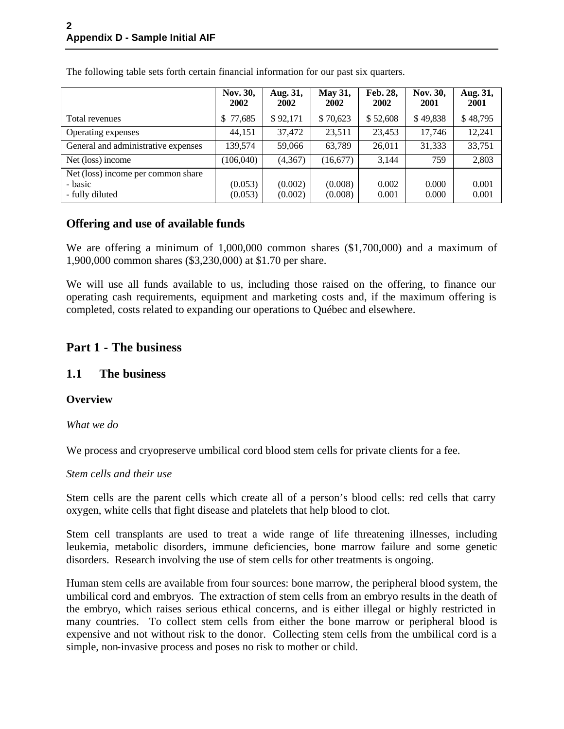|                                                                  | Nov. 30,<br>2002   | Aug. 31,<br>2002   | <b>May 31,</b><br>2002 | Feb. 28,<br>2002 | Nov. 30,<br>2001 | Aug. 31,<br>2001 |
|------------------------------------------------------------------|--------------------|--------------------|------------------------|------------------|------------------|------------------|
| Total revenues                                                   | \$77,685           | \$92,171           | \$70,623               | \$52,608         | \$49,838         | \$48,795         |
| Operating expenses                                               | 44,151             | 37,472             | 23,511                 | 23,453           | 17,746           | 12,241           |
| General and administrative expenses                              | 139,574            | 59,066             | 63,789                 | 26,011           | 31,333           | 33,751           |
| Net (loss) income                                                | (106, 040)         | (4,367)            | (16,677)               | 3,144            | 759              | 2,803            |
| Net (loss) income per common share<br>- basic<br>- fully diluted | (0.053)<br>(0.053) | (0.002)<br>(0.002) | (0.008)<br>(0.008)     | 0.002<br>0.001   | 0.000<br>0.000   | 0.001<br>0.001   |

The following table sets forth certain financial information for our past six quarters.

### **Offering and use of available funds**

We are offering a minimum of 1,000,000 common shares (\$1,700,000) and a maximum of 1,900,000 common shares (\$3,230,000) at \$1.70 per share.

We will use all funds available to us, including those raised on the offering, to finance our operating cash requirements, equipment and marketing costs and, if the maximum offering is completed, costs related to expanding our operations to Québec and elsewhere.

# **Part 1 - The business**

### **1.1 The business**

### **Overview**

*What we do*

We process and cryopreserve umbilical cord blood stem cells for private clients for a fee.

#### *Stem cells and their use*

Stem cells are the parent cells which create all of a person's blood cells: red cells that carry oxygen, white cells that fight disease and platelets that help blood to clot.

Stem cell transplants are used to treat a wide range of life threatening illnesses, including leukemia, metabolic disorders, immune deficiencies, bone marrow failure and some genetic disorders. Research involving the use of stem cells for other treatments is ongoing.

Human stem cells are available from four sources: bone marrow, the peripheral blood system, the umbilical cord and embryos. The extraction of stem cells from an embryo results in the death of the embryo, which raises serious ethical concerns, and is either illegal or highly restricted in many countries. To collect stem cells from either the bone marrow or peripheral blood is expensive and not without risk to the donor. Collecting stem cells from the umbilical cord is a simple, non-invasive process and poses no risk to mother or child.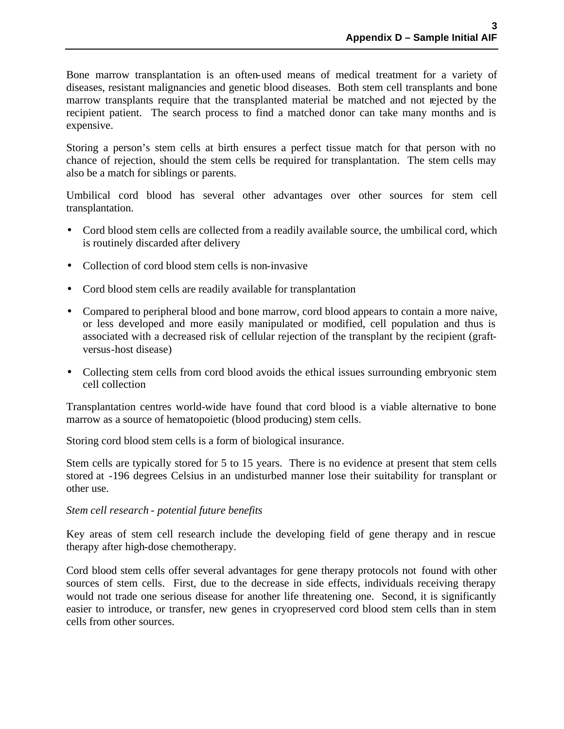Bone marrow transplantation is an often-used means of medical treatment for a variety of diseases, resistant malignancies and genetic blood diseases. Both stem cell transplants and bone marrow transplants require that the transplanted material be matched and not rejected by the recipient patient. The search process to find a matched donor can take many months and is expensive.

Storing a person's stem cells at birth ensures a perfect tissue match for that person with no chance of rejection, should the stem cells be required for transplantation. The stem cells may also be a match for siblings or parents.

Umbilical cord blood has several other advantages over other sources for stem cell transplantation.

- Cord blood stem cells are collected from a readily available source, the umbilical cord, which is routinely discarded after delivery
- Collection of cord blood stem cells is non-invasive
- Cord blood stem cells are readily available for transplantation
- Compared to peripheral blood and bone marrow, cord blood appears to contain a more naive, or less developed and more easily manipulated or modified, cell population and thus is associated with a decreased risk of cellular rejection of the transplant by the recipient (graftversus-host disease)
- Collecting stem cells from cord blood avoids the ethical issues surrounding embryonic stem cell collection

Transplantation centres world-wide have found that cord blood is a viable alternative to bone marrow as a source of hematopoietic (blood producing) stem cells.

Storing cord blood stem cells is a form of biological insurance.

Stem cells are typically stored for 5 to 15 years. There is no evidence at present that stem cells stored at -196 degrees Celsius in an undisturbed manner lose their suitability for transplant or other use.

#### *Stem cell research - potential future benefits*

Key areas of stem cell research include the developing field of gene therapy and in rescue therapy after high-dose chemotherapy.

Cord blood stem cells offer several advantages for gene therapy protocols not found with other sources of stem cells. First, due to the decrease in side effects, individuals receiving therapy would not trade one serious disease for another life threatening one. Second, it is significantly easier to introduce, or transfer, new genes in cryopreserved cord blood stem cells than in stem cells from other sources.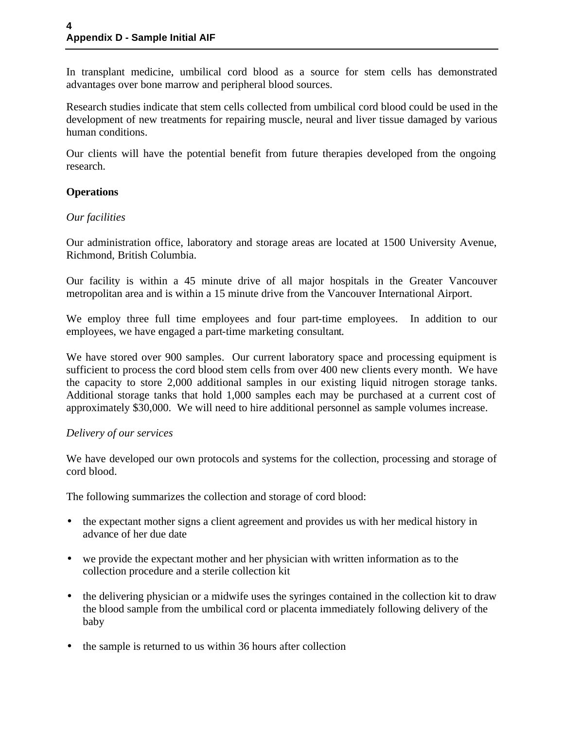In transplant medicine, umbilical cord blood as a source for stem cells has demonstrated advantages over bone marrow and peripheral blood sources.

Research studies indicate that stem cells collected from umbilical cord blood could be used in the development of new treatments for repairing muscle, neural and liver tissue damaged by various human conditions.

Our clients will have the potential benefit from future therapies developed from the ongoing research.

### **Operations**

### *Our facilities*

Our administration office, laboratory and storage areas are located at 1500 University Avenue, Richmond, British Columbia.

Our facility is within a 45 minute drive of all major hospitals in the Greater Vancouver metropolitan area and is within a 15 minute drive from the Vancouver International Airport.

We employ three full time employees and four part-time employees. In addition to our employees, we have engaged a part-time marketing consultant.

We have stored over 900 samples. Our current laboratory space and processing equipment is sufficient to process the cord blood stem cells from over 400 new clients every month. We have the capacity to store 2,000 additional samples in our existing liquid nitrogen storage tanks. Additional storage tanks that hold 1,000 samples each may be purchased at a current cost of approximately \$30,000. We will need to hire additional personnel as sample volumes increase.

### *Delivery of our services*

We have developed our own protocols and systems for the collection, processing and storage of cord blood.

The following summarizes the collection and storage of cord blood:

- the expectant mother signs a client agreement and provides us with her medical history in advance of her due date
- we provide the expectant mother and her physician with written information as to the collection procedure and a sterile collection kit
- the delivering physician or a midwife uses the syringes contained in the collection kit to draw the blood sample from the umbilical cord or placenta immediately following delivery of the baby
- the sample is returned to us within 36 hours after collection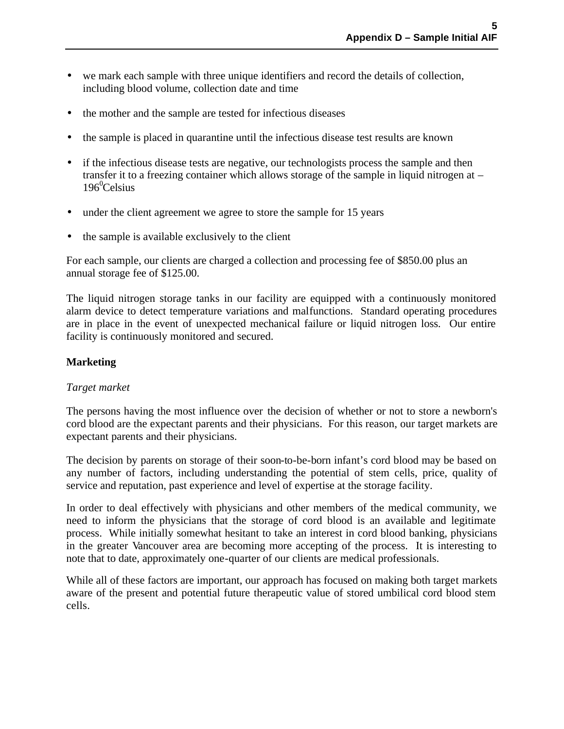- we mark each sample with three unique identifiers and record the details of collection, including blood volume, collection date and time
- the mother and the sample are tested for infectious diseases
- the sample is placed in quarantine until the infectious disease test results are known
- if the infectious disease tests are negative, our technologists process the sample and then transfer it to a freezing container which allows storage of the sample in liquid nitrogen at –  $196^0$ Celsius
- under the client agreement we agree to store the sample for 15 years
- the sample is available exclusively to the client

For each sample, our clients are charged a collection and processing fee of \$850.00 plus an annual storage fee of \$125.00.

The liquid nitrogen storage tanks in our facility are equipped with a continuously monitored alarm device to detect temperature variations and malfunctions. Standard operating procedures are in place in the event of unexpected mechanical failure or liquid nitrogen loss. Our entire facility is continuously monitored and secured.

#### **Marketing**

#### *Target market*

The persons having the most influence over the decision of whether or not to store a newborn's cord blood are the expectant parents and their physicians. For this reason, our target markets are expectant parents and their physicians.

The decision by parents on storage of their soon-to-be-born infant's cord blood may be based on any number of factors, including understanding the potential of stem cells, price, quality of service and reputation, past experience and level of expertise at the storage facility.

In order to deal effectively with physicians and other members of the medical community, we need to inform the physicians that the storage of cord blood is an available and legitimate process. While initially somewhat hesitant to take an interest in cord blood banking, physicians in the greater Vancouver area are becoming more accepting of the process. It is interesting to note that to date, approximately one-quarter of our clients are medical professionals.

While all of these factors are important, our approach has focused on making both target markets aware of the present and potential future therapeutic value of stored umbilical cord blood stem cells.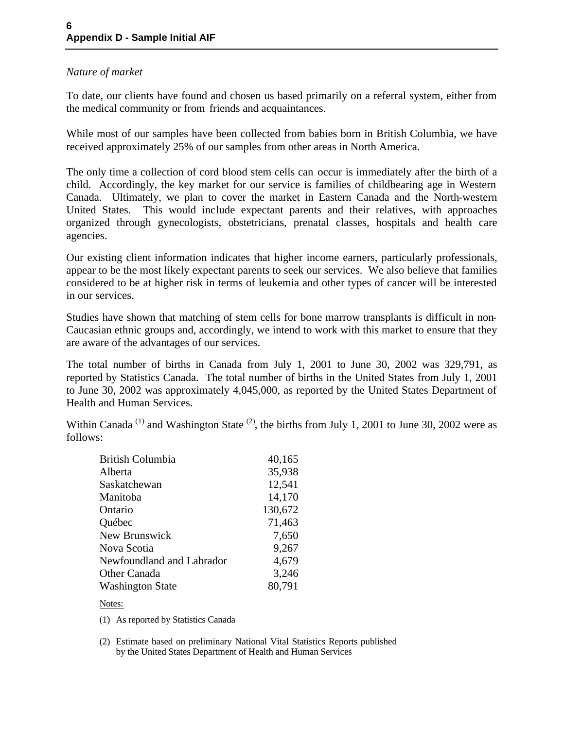### *Nature of market*

To date, our clients have found and chosen us based primarily on a referral system, either from the medical community or from friends and acquaintances.

While most of our samples have been collected from babies born in British Columbia, we have received approximately 25% of our samples from other areas in North America.

The only time a collection of cord blood stem cells can occur is immediately after the birth of a child. Accordingly, the key market for our service is families of childbearing age in Western Canada. Ultimately, we plan to cover the market in Eastern Canada and the North-western United States. This would include expectant parents and their relatives, with approaches organized through gynecologists, obstetricians, prenatal classes, hospitals and health care agencies.

Our existing client information indicates that higher income earners, particularly professionals, appear to be the most likely expectant parents to seek our services. We also believe that families considered to be at higher risk in terms of leukemia and other types of cancer will be interested in our services.

Studies have shown that matching of stem cells for bone marrow transplants is difficult in non-Caucasian ethnic groups and, accordingly, we intend to work with this market to ensure that they are aware of the advantages of our services.

The total number of births in Canada from July 1, 2001 to June 30, 2002 was 329,791, as reported by Statistics Canada. The total number of births in the United States from July 1, 2001 to June 30, 2002 was approximately 4,045,000, as reported by the United States Department of Health and Human Services.

Within Canada<sup>(1)</sup> and Washington State<sup>(2)</sup>, the births from July 1, 2001 to June 30, 2002 were as follows:

| <b>British Columbia</b>   | 40,165  |
|---------------------------|---------|
| Alberta                   | 35,938  |
| Saskatchewan              | 12,541  |
| Manitoba                  | 14,170  |
| Ontario                   | 130,672 |
| Québec                    | 71,463  |
| New Brunswick             | 7,650   |
| Nova Scotia               | 9,267   |
| Newfoundland and Labrador | 4,679   |
| Other Canada              | 3,246   |
| <b>Washington State</b>   | 80,791  |

Notes:

(1) As reported by Statistics Canada

(2) Estimate based on preliminary National Vital Statistics Reports published by the United States Department of Health and Human Services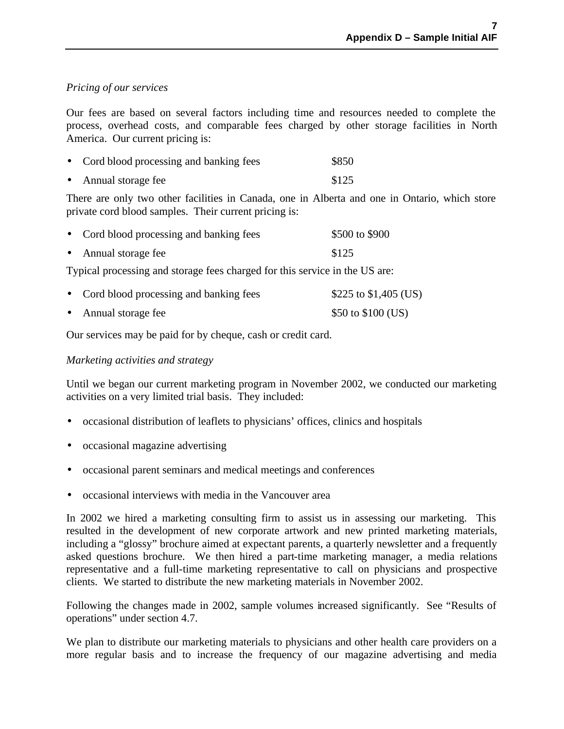#### *Pricing of our services*

Our fees are based on several factors including time and resources needed to complete the process, overhead costs, and comparable fees charged by other storage facilities in North America. Our current pricing is:

|           | • Cord blood processing and banking fees | \$850 |
|-----------|------------------------------------------|-------|
| $\bullet$ | Annual storage fee                       | \$125 |

There are only two other facilities in Canada, one in Alberta and one in Ontario, which store private cord blood samples. Their current pricing is:

| • Cord blood processing and banking fees | \$500 to \$900 |
|------------------------------------------|----------------|
| • Annual storage fee                     | \$125          |
|                                          |                |

Typical processing and storage fees charged for this service in the US are:

| • Cord blood processing and banking fees | \$225 to $$1,405$ (US) |
|------------------------------------------|------------------------|
| • Annual storage fee                     | \$50 to \$100 (US)     |

Our services may be paid for by cheque, cash or credit card.

#### *Marketing activities and strategy*

Until we began our current marketing program in November 2002, we conducted our marketing activities on a very limited trial basis. They included:

- occasional distribution of leaflets to physicians' offices, clinics and hospitals
- occasional magazine advertising
- occasional parent seminars and medical meetings and conferences
- occasional interviews with media in the Vancouver area

In 2002 we hired a marketing consulting firm to assist us in assessing our marketing. This resulted in the development of new corporate artwork and new printed marketing materials, including a "glossy" brochure aimed at expectant parents, a quarterly newsletter and a frequently asked questions brochure. We then hired a part-time marketing manager, a media relations representative and a full-time marketing representative to call on physicians and prospective clients. We started to distribute the new marketing materials in November 2002.

Following the changes made in 2002, sample volumes increased significantly. See "Results of operations" under section 4.7.

We plan to distribute our marketing materials to physicians and other health care providers on a more regular basis and to increase the frequency of our magazine advertising and media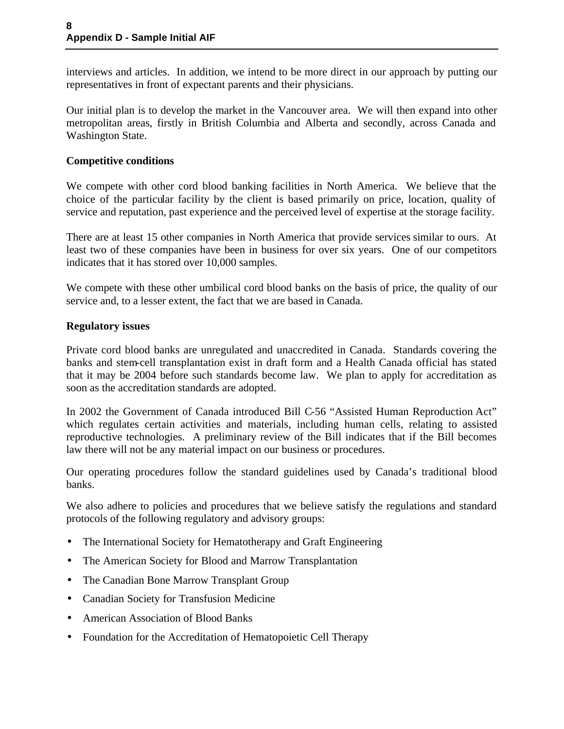interviews and articles. In addition, we intend to be more direct in our approach by putting our representatives in front of expectant parents and their physicians.

Our initial plan is to develop the market in the Vancouver area. We will then expand into other metropolitan areas, firstly in British Columbia and Alberta and secondly, across Canada and Washington State.

#### **Competitive conditions**

We compete with other cord blood banking facilities in North America. We believe that the choice of the particular facility by the client is based primarily on price, location, quality of service and reputation, past experience and the perceived level of expertise at the storage facility.

There are at least 15 other companies in North America that provide services similar to ours. At least two of these companies have been in business for over six years. One of our competitors indicates that it has stored over 10,000 samples.

We compete with these other umbilical cord blood banks on the basis of price, the quality of our service and, to a lesser extent, the fact that we are based in Canada.

#### **Regulatory issues**

Private cord blood banks are unregulated and unaccredited in Canada. Standards covering the banks and stem-cell transplantation exist in draft form and a Health Canada official has stated that it may be 2004 before such standards become law. We plan to apply for accreditation as soon as the accreditation standards are adopted.

In 2002 the Government of Canada introduced Bill C-56 "Assisted Human Reproduction Act" which regulates certain activities and materials, including human cells, relating to assisted reproductive technologies. A preliminary review of the Bill indicates that if the Bill becomes law there will not be any material impact on our business or procedures.

Our operating procedures follow the standard guidelines used by Canada's traditional blood banks.

We also adhere to policies and procedures that we believe satisfy the regulations and standard protocols of the following regulatory and advisory groups:

- The International Society for Hematotherapy and Graft Engineering
- The American Society for Blood and Marrow Transplantation
- The Canadian Bone Marrow Transplant Group
- Canadian Society for Transfusion Medicine
- American Association of Blood Banks
- Foundation for the Accreditation of Hematopoietic Cell Therapy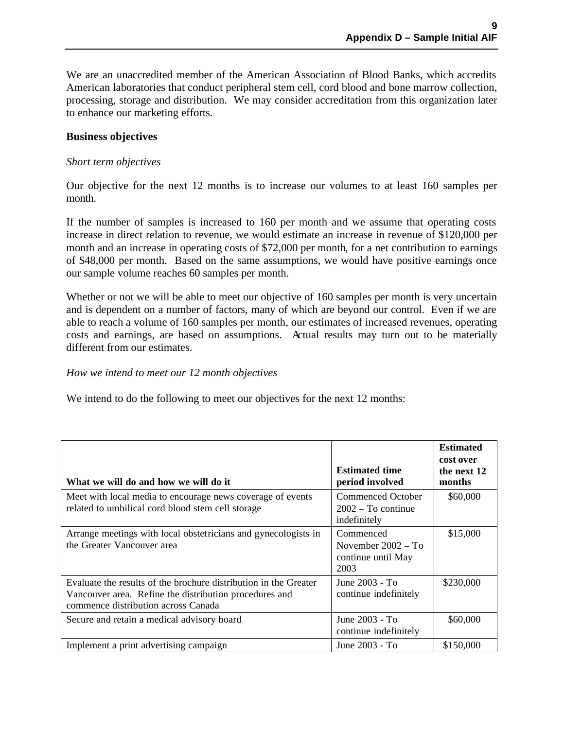We are an unaccredited member of the American Association of Blood Banks, which accredits American laboratories that conduct peripheral stem cell, cord blood and bone marrow collection, processing, storage and distribution. We may consider accreditation from this organization later to enhance our marketing efforts.

#### **Business objectives**

#### *Short term objectives*

Our objective for the next 12 months is to increase our volumes to at least 160 samples per month.

If the number of samples is increased to 160 per month and we assume that operating costs increase in direct relation to revenue, we would estimate an increase in revenue of \$120,000 per month and an increase in operating costs of \$72,000 per month, for a net contribution to earnings of \$48,000 per month. Based on the same assumptions, we would have positive earnings once our sample volume reaches 60 samples per month.

Whether or not we will be able to meet our objective of 160 samples per month is very uncertain and is dependent on a number of factors, many of which are beyond our control. Even if we are able to reach a volume of 160 samples per month, our estimates of increased revenues, operating costs and earnings, are based on assumptions. Actual results may turn out to be materially different from our estimates.

#### *How we intend to meet our 12 month objectives*

We intend to do the following to meet our objectives for the next 12 months:

| What we will do and how we will do it                                                                                                                             | <b>Estimated time</b><br>period involved                        | <b>Estimated</b><br>cost over<br>the next 12<br>months |
|-------------------------------------------------------------------------------------------------------------------------------------------------------------------|-----------------------------------------------------------------|--------------------------------------------------------|
| Meet with local media to encourage news coverage of events<br>related to umbilical cord blood stem cell storage                                                   | Commenced October<br>$2002 - To continue$<br>indefinitely       | \$60,000                                               |
| Arrange meetings with local obstetricians and gynecologists in<br>the Greater Vancouver area                                                                      | Commenced<br>November $2002 - To$<br>continue until May<br>2003 | \$15,000                                               |
| Evaluate the results of the brochure distribution in the Greater<br>Vancouver area. Refine the distribution procedures and<br>commence distribution across Canada | June 2003 - To<br>continue indefinitely                         | \$230,000                                              |
| Secure and retain a medical advisory board                                                                                                                        | June 2003 - To<br>continue indefinitely                         | \$60,000                                               |
| Implement a print advertising campaign                                                                                                                            | June 2003 - To                                                  | \$150,000                                              |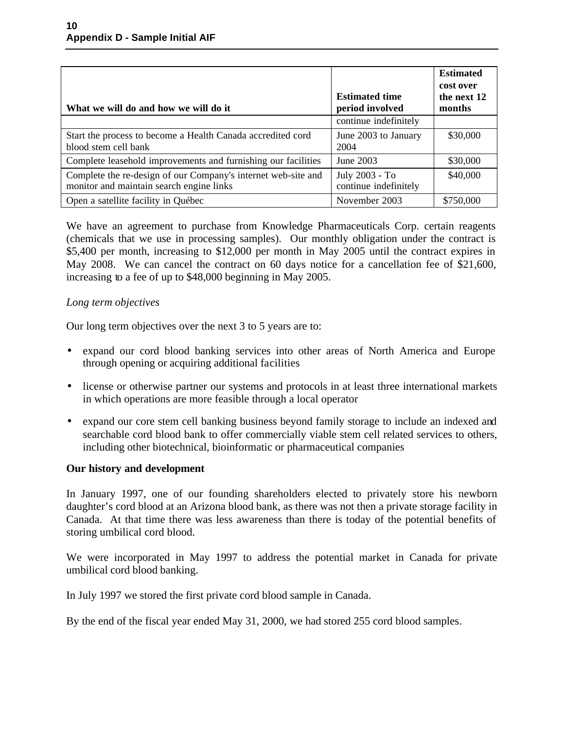| What we will do and how we will do it                                                                     | <b>Estimated time</b><br>period involved | <b>Estimated</b><br>cost over<br>the next 12<br>months |
|-----------------------------------------------------------------------------------------------------------|------------------------------------------|--------------------------------------------------------|
|                                                                                                           | continue indefinitely                    |                                                        |
| Start the process to become a Health Canada accredited cord<br>blood stem cell bank                       | June 2003 to January<br>2004             | \$30,000                                               |
| Complete leasehold improvements and furnishing our facilities                                             | June 2003                                | \$30,000                                               |
| Complete the re-design of our Company's internet web-site and<br>monitor and maintain search engine links | July 2003 - To<br>continue indefinitely  | \$40,000                                               |
| Open a satellite facility in Québec                                                                       | November 2003                            | \$750,000                                              |

We have an agreement to purchase from Knowledge Pharmaceuticals Corp. certain reagents (chemicals that we use in processing samples). Our monthly obligation under the contract is \$5,400 per month, increasing to \$12,000 per month in May 2005 until the contract expires in May 2008. We can cancel the contract on 60 days notice for a cancellation fee of \$21,600, increasing to a fee of up to \$48,000 beginning in May 2005.

#### *Long term objectives*

Our long term objectives over the next 3 to 5 years are to:

- expand our cord blood banking services into other areas of North America and Europe through opening or acquiring additional facilities
- license or otherwise partner our systems and protocols in at least three international markets in which operations are more feasible through a local operator
- expand our core stem cell banking business beyond family storage to include an indexed and searchable cord blood bank to offer commercially viable stem cell related services to others, including other biotechnical, bioinformatic or pharmaceutical companies

#### **Our history and development**

In January 1997, one of our founding shareholders elected to privately store his newborn daughter's cord blood at an Arizona blood bank, as there was not then a private storage facility in Canada. At that time there was less awareness than there is today of the potential benefits of storing umbilical cord blood.

We were incorporated in May 1997 to address the potential market in Canada for private umbilical cord blood banking.

In July 1997 we stored the first private cord blood sample in Canada.

By the end of the fiscal year ended May 31, 2000, we had stored 255 cord blood samples.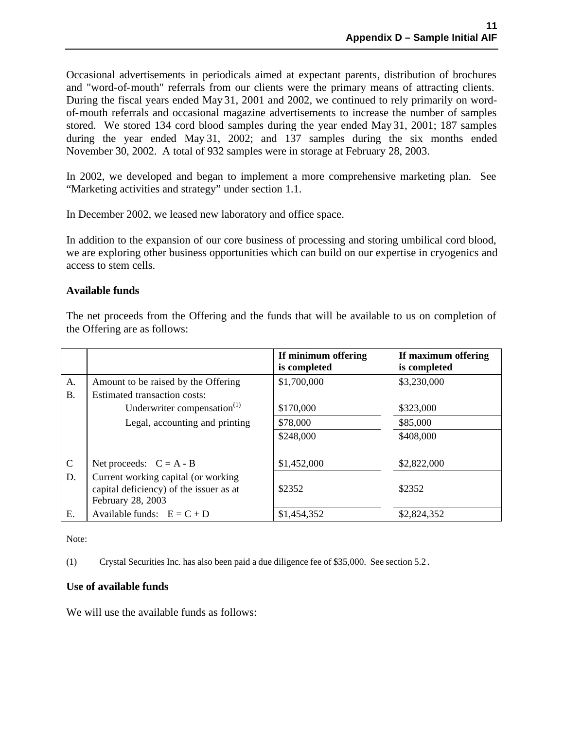Occasional advertisements in periodicals aimed at expectant parents*,* distribution of brochures and "word-of-mouth" referrals from our clients were the primary means of attracting clients. During the fiscal years ended May 31, 2001 and 2002, we continued to rely primarily on wordof-mouth referrals and occasional magazine advertisements to increase the number of samples stored. We stored 134 cord blood samples during the year ended May 31, 2001; 187 samples during the year ended May 31, 2002; and 137 samples during the six months ended November 30, 2002. A total of 932 samples were in storage at February 28, 2003.

In 2002, we developed and began to implement a more comprehensive marketing plan. See "Marketing activities and strategy" under section 1.1.

In December 2002, we leased new laboratory and office space.

In addition to the expansion of our core business of processing and storing umbilical cord blood, we are exploring other business opportunities which can build on our expertise in cryogenics and access to stem cells.

#### **Available funds**

The net proceeds from the Offering and the funds that will be available to us on completion of the Offering are as follows:

|               |                                                                                                     | If minimum offering<br>is completed | If maximum offering<br>is completed |
|---------------|-----------------------------------------------------------------------------------------------------|-------------------------------------|-------------------------------------|
| A.            | Amount to be raised by the Offering                                                                 | \$1,700,000                         | \$3,230,000                         |
| B.            | Estimated transaction costs:                                                                        |                                     |                                     |
|               | Underwriter compensation <sup>(1)</sup>                                                             | \$170,000                           | \$323,000                           |
|               | Legal, accounting and printing                                                                      | \$78,000                            | \$85,000                            |
|               |                                                                                                     | \$248,000                           | \$408,000                           |
|               |                                                                                                     |                                     |                                     |
| $\mathcal{C}$ | Net proceeds: $C = A - B$                                                                           | \$1,452,000                         | \$2,822,000                         |
| D.            | Current working capital (or working<br>capital deficiency) of the issuer as at<br>February 28, 2003 | \$2352                              | \$2352                              |
| Ε.            | Available funds: $E = C + D$                                                                        | \$1,454,352                         | \$2,824,352                         |

Note:

(1) Crystal Securities Inc. has also been paid a due diligence fee of \$35,000. See section 5.2.

#### **Use of available funds**

We will use the available funds as follows: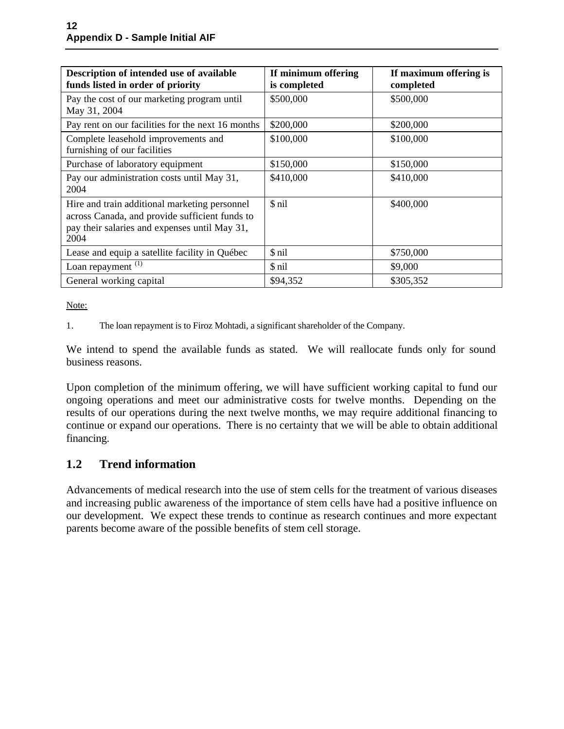| Description of intended use of available<br>funds listed in order of priority                                                                            | If minimum offering<br>is completed | If maximum offering is<br>completed |
|----------------------------------------------------------------------------------------------------------------------------------------------------------|-------------------------------------|-------------------------------------|
| Pay the cost of our marketing program until<br>May 31, 2004                                                                                              | \$500,000                           | \$500,000                           |
| Pay rent on our facilities for the next 16 months                                                                                                        | \$200,000                           | \$200,000                           |
| Complete leasehold improvements and<br>furnishing of our facilities                                                                                      | \$100,000                           | \$100,000                           |
| Purchase of laboratory equipment                                                                                                                         | \$150,000                           | \$150,000                           |
| Pay our administration costs until May 31,<br>2004                                                                                                       | \$410,000                           | \$410,000                           |
| Hire and train additional marketing personnel<br>across Canada, and provide sufficient funds to<br>pay their salaries and expenses until May 31,<br>2004 | \$ nil                              | \$400,000                           |
| Lease and equip a satellite facility in Québec                                                                                                           | \$ nil                              | \$750,000                           |
| Loan repayment $(1)$                                                                                                                                     | \$ nil                              | \$9,000                             |
| General working capital                                                                                                                                  | \$94,352                            | \$305,352                           |

Note:

1. The loan repayment is to Firoz Mohtadi, a significant shareholder of the Company.

We intend to spend the available funds as stated. We will reallocate funds only for sound business reasons.

Upon completion of the minimum offering, we will have sufficient working capital to fund our ongoing operations and meet our administrative costs for twelve months. Depending on the results of our operations during the next twelve months, we may require additional financing to continue or expand our operations. There is no certainty that we will be able to obtain additional financing.

# **1.2 Trend information**

Advancements of medical research into the use of stem cells for the treatment of various diseases and increasing public awareness of the importance of stem cells have had a positive influence on our development. We expect these trends to continue as research continues and more expectant parents become aware of the possible benefits of stem cell storage.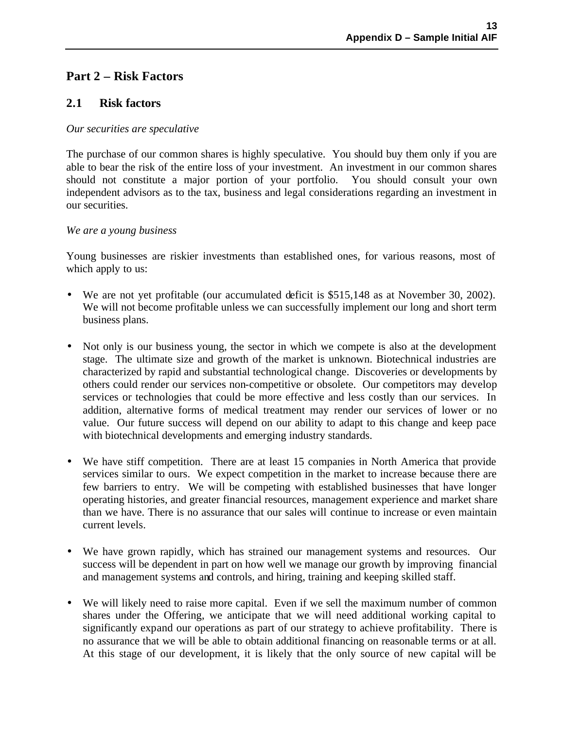# **Part 2 – Risk Factors**

### **2.1 Risk factors**

#### *Our securities are speculative*

The purchase of our common shares is highly speculative. You should buy them only if you are able to bear the risk of the entire loss of your investment. An investment in our common shares should not constitute a major portion of your portfolio. You should consult your own independent advisors as to the tax, business and legal considerations regarding an investment in our securities.

#### *We are a young business*

Young businesses are riskier investments than established ones, for various reasons, most of which apply to us:

- We are not yet profitable (our accumulated deficit is \$515,148 as at November 30, 2002). We will not become profitable unless we can successfully implement our long and short term business plans.
- Not only is our business young, the sector in which we compete is also at the development stage. The ultimate size and growth of the market is unknown. Biotechnical industries are characterized by rapid and substantial technological change. Discoveries or developments by others could render our services non-competitive or obsolete. Our competitors may develop services or technologies that could be more effective and less costly than our services. In addition, alternative forms of medical treatment may render our services of lower or no value. Our future success will depend on our ability to adapt to this change and keep pace with biotechnical developments and emerging industry standards.
- We have stiff competition. There are at least 15 companies in North America that provide services similar to ours. We expect competition in the market to increase because there are few barriers to entry. We will be competing with established businesses that have longer operating histories, and greater financial resources, management experience and market share than we have. There is no assurance that our sales will continue to increase or even maintain current levels.
- We have grown rapidly, which has strained our management systems and resources. Our success will be dependent in part on how well we manage our growth by improving financial and management systems and controls, and hiring, training and keeping skilled staff.
- We will likely need to raise more capital. Even if we sell the maximum number of common shares under the Offering, we anticipate that we will need additional working capital to significantly expand our operations as part of our strategy to achieve profitability. There is no assurance that we will be able to obtain additional financing on reasonable terms or at all. At this stage of our development, it is likely that the only source of new capital will be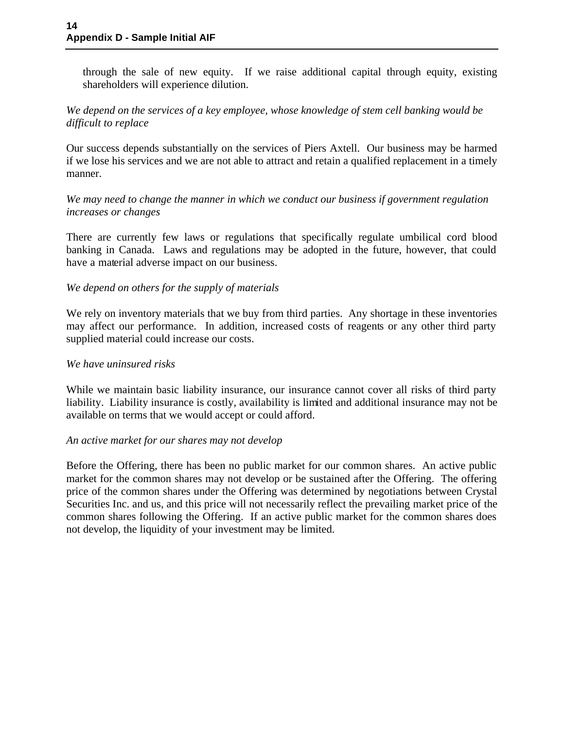through the sale of new equity. If we raise additional capital through equity, existing shareholders will experience dilution.

#### *We depend on the services of a key employee, whose knowledge of stem cell banking would be difficult to replace*

Our success depends substantially on the services of Piers Axtell. Our business may be harmed if we lose his services and we are not able to attract and retain a qualified replacement in a timely manner.

*We may need to change the manner in which we conduct our business if government regulation increases or changes*

There are currently few laws or regulations that specifically regulate umbilical cord blood banking in Canada. Laws and regulations may be adopted in the future, however, that could have a material adverse impact on our business.

### *We depend on others for the supply of materials*

We rely on inventory materials that we buy from third parties. Any shortage in these inventories may affect our performance. In addition, increased costs of reagents or any other third party supplied material could increase our costs.

#### *We have uninsured risks*

While we maintain basic liability insurance, our insurance cannot cover all risks of third party liability. Liability insurance is costly, availability is limited and additional insurance may not be available on terms that we would accept or could afford.

#### *An active market for our shares may not develop*

Before the Offering, there has been no public market for our common shares. An active public market for the common shares may not develop or be sustained after the Offering. The offering price of the common shares under the Offering was determined by negotiations between Crystal Securities Inc. and us, and this price will not necessarily reflect the prevailing market price of the common shares following the Offering. If an active public market for the common shares does not develop, the liquidity of your investment may be limited.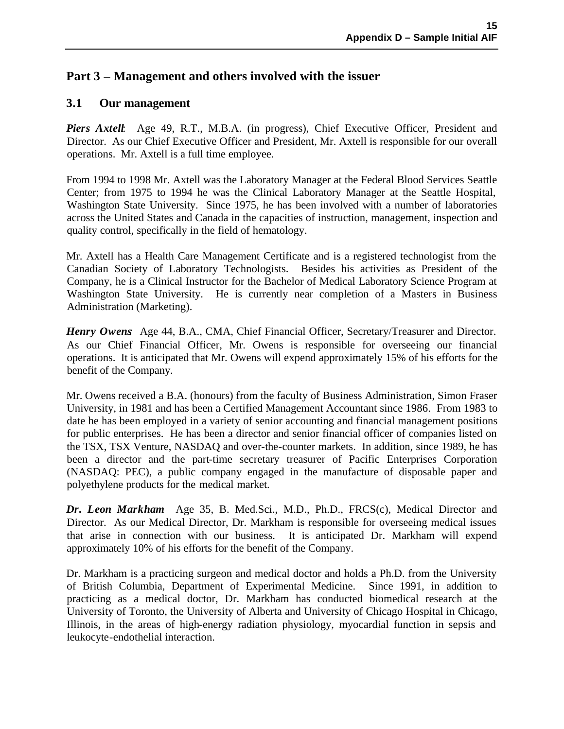# **Part 3 – Management and others involved with the issuer**

### **3.1 Our management**

*Piers Axtell*: Age 49, R.T., M.B.A. (in progress), Chief Executive Officer, President and Director. As our Chief Executive Officer and President, Mr. Axtell is responsible for our overall operations. Mr. Axtell is a full time employee.

From 1994 to 1998 Mr. Axtell was the Laboratory Manager at the Federal Blood Services Seattle Center; from 1975 to 1994 he was the Clinical Laboratory Manager at the Seattle Hospital, Washington State University. Since 1975, he has been involved with a number of laboratories across the United States and Canada in the capacities of instruction, management, inspection and quality control, specifically in the field of hematology.

Mr. Axtell has a Health Care Management Certificate and is a registered technologist from the Canadian Society of Laboratory Technologists. Besides his activities as President of the Company, he is a Clinical Instructor for the Bachelor of Medical Laboratory Science Program at Washington State University. He is currently near completion of a Masters in Business Administration (Marketing).

*Henry Owens* Age 44, B.A., CMA, Chief Financial Officer, Secretary/Treasurer and Director. As our Chief Financial Officer, Mr. Owens is responsible for overseeing our financial operations. It is anticipated that Mr. Owens will expend approximately 15% of his efforts for the benefit of the Company.

Mr. Owens received a B.A. (honours) from the faculty of Business Administration, Simon Fraser University, in 1981 and has been a Certified Management Accountant since 1986. From 1983 to date he has been employed in a variety of senior accounting and financial management positions for public enterprises. He has been a director and senior financial officer of companies listed on the TSX, TSX Venture, NASDAQ and over-the-counter markets. In addition, since 1989, he has been a director and the part-time secretary treasurer of Pacific Enterprises Corporation (NASDAQ: PEC), a public company engaged in the manufacture of disposable paper and polyethylene products for the medical market.

*Dr. Leon Markham*: Age 35, B. Med.Sci., M.D., Ph.D., FRCS(c), Medical Director and Director. As our Medical Director, Dr. Markham is responsible for overseeing medical issues that arise in connection with our business. It is anticipated Dr. Markham will expend approximately 10% of his efforts for the benefit of the Company.

Dr. Markham is a practicing surgeon and medical doctor and holds a Ph.D. from the University of British Columbia, Department of Experimental Medicine. Since 1991, in addition to practicing as a medical doctor, Dr. Markham has conducted biomedical research at the University of Toronto, the University of Alberta and University of Chicago Hospital in Chicago, Illinois, in the areas of high-energy radiation physiology, myocardial function in sepsis and leukocyte-endothelial interaction.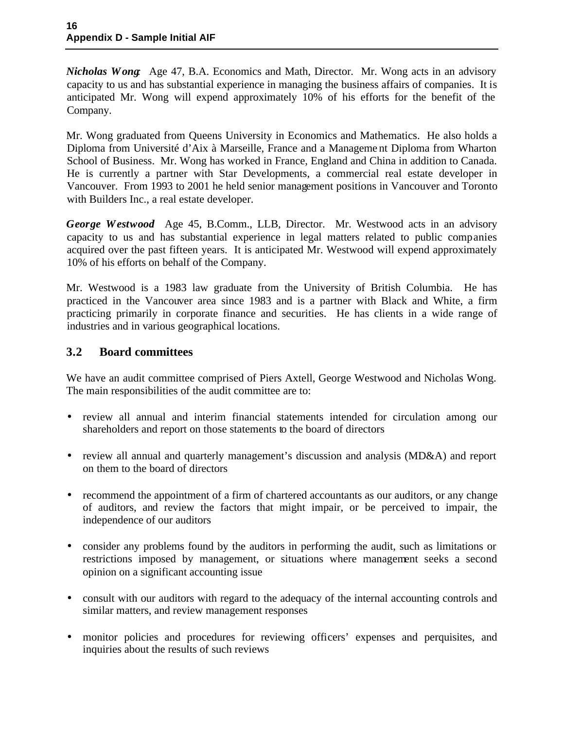*Nicholas Wong:* Age 47, B.A. Economics and Math, Director. Mr. Wong acts in an advisory capacity to us and has substantial experience in managing the business affairs of companies. It is anticipated Mr. Wong will expend approximately 10% of his efforts for the benefit of the Company.

Mr. Wong graduated from Queens University in Economics and Mathematics. He also holds a Diploma from Université d'Aix à Marseille, France and a Manageme nt Diploma from Wharton School of Business. Mr. Wong has worked in France, England and China in addition to Canada. He is currently a partner with Star Developments, a commercial real estate developer in Vancouver. From 1993 to 2001 he held senior management positions in Vancouver and Toronto with Builders Inc., a real estate developer.

*George Westwood:* Age 45, B.Comm., LLB, Director. Mr. Westwood acts in an advisory capacity to us and has substantial experience in legal matters related to public companies acquired over the past fifteen years. It is anticipated Mr. Westwood will expend approximately 10% of his efforts on behalf of the Company.

Mr. Westwood is a 1983 law graduate from the University of British Columbia. He has practiced in the Vancouver area since 1983 and is a partner with Black and White, a firm practicing primarily in corporate finance and securities. He has clients in a wide range of industries and in various geographical locations.

### **3.2 Board committees**

We have an audit committee comprised of Piers Axtell, George Westwood and Nicholas Wong. The main responsibilities of the audit committee are to:

- review all annual and interim financial statements intended for circulation among our shareholders and report on those statements to the board of directors
- review all annual and quarterly management's discussion and analysis (MD&A) and report on them to the board of directors
- recommend the appointment of a firm of chartered accountants as our auditors, or any change of auditors, and review the factors that might impair, or be perceived to impair, the independence of our auditors
- consider any problems found by the auditors in performing the audit, such as limitations or restrictions imposed by management, or situations where management seeks a second opinion on a significant accounting issue
- consult with our auditors with regard to the adequacy of the internal accounting controls and similar matters, and review management responses
- monitor policies and procedures for reviewing officers' expenses and perquisites, and inquiries about the results of such reviews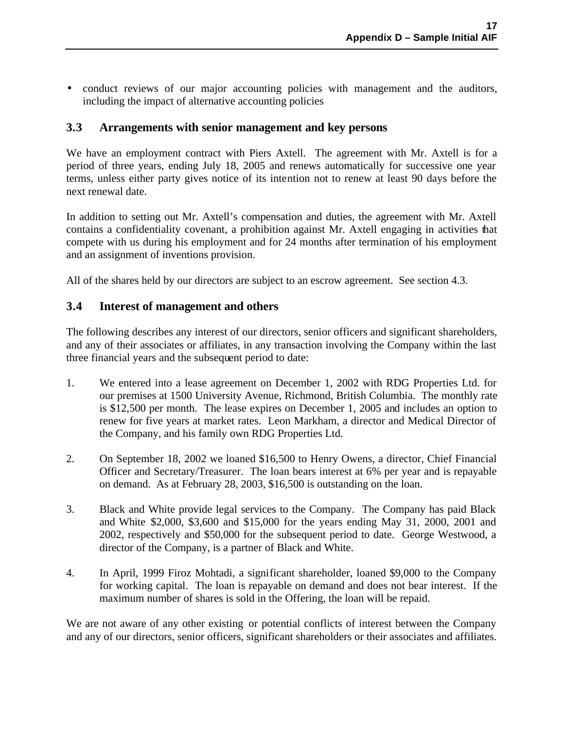• conduct reviews of our major accounting policies with management and the auditors, including the impact of alternative accounting policies

# **3.3 Arrangements with senior management and key persons**

We have an employment contract with Piers Axtell. The agreement with Mr. Axtell is for a period of three years, ending July 18, 2005 and renews automatically for successive one year terms, unless either party gives notice of its intention not to renew at least 90 days before the next renewal date.

In addition to setting out Mr. Axtell's compensation and duties, the agreement with Mr. Axtell contains a confidentiality covenant, a prohibition against Mr. Axtell engaging in activities that compete with us during his employment and for 24 months after termination of his employment and an assignment of inventions provision.

All of the shares held by our directors are subject to an escrow agreement. See section 4.3.

### **3.4 Interest of management and others**

The following describes any interest of our directors, senior officers and significant shareholders, and any of their associates or affiliates, in any transaction involving the Company within the last three financial years and the subsequent period to date:

- 1. We entered into a lease agreement on December 1, 2002 with RDG Properties Ltd. for our premises at 1500 University Avenue, Richmond, British Columbia. The monthly rate is \$12,500 per month. The lease expires on December 1, 2005 and includes an option to renew for five years at market rates. Leon Markham, a director and Medical Director of the Company, and his family own RDG Properties Ltd.
- 2. On September 18, 2002 we loaned \$16,500 to Henry Owens, a director, Chief Financial Officer and Secretary/Treasurer. The loan bears interest at 6% per year and is repayable on demand. As at February 28, 2003, \$16,500 is outstanding on the loan.
- 3. Black and White provide legal services to the Company. The Company has paid Black and White \$2,000, \$3,600 and \$15,000 for the years ending May 31, 2000, 2001 and 2002, respectively and \$50,000 for the subsequent period to date. George Westwood, a director of the Company, is a partner of Black and White.
- 4. In April, 1999 Firoz Mohtadi, a significant shareholder, loaned \$9,000 to the Company for working capital. The loan is repayable on demand and does not bear interest. If the maximum number of shares is sold in the Offering, the loan will be repaid.

We are not aware of any other existing or potential conflicts of interest between the Company and any of our directors, senior officers, significant shareholders or their associates and affiliates.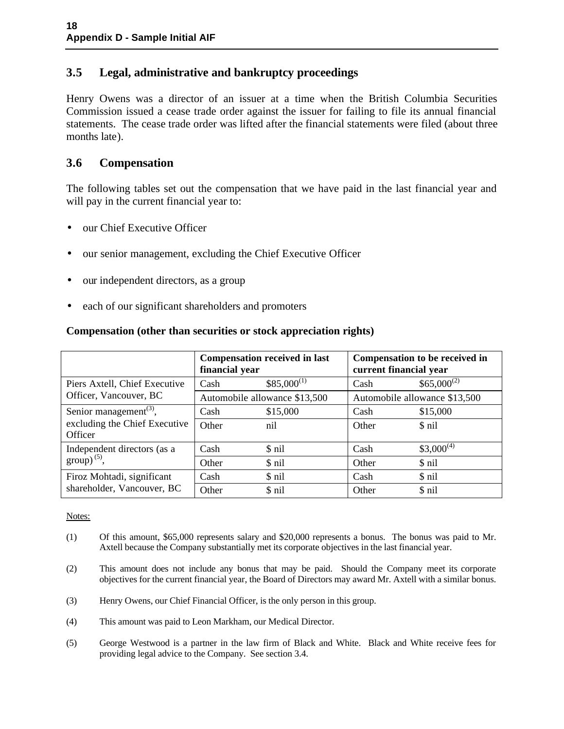# **3.5 Legal, administrative and bankruptcy proceedings**

Henry Owens was a director of an issuer at a time when the British Columbia Securities Commission issued a cease trade order against the issuer for failing to file its annual financial statements. The cease trade order was lifted after the financial statements were filed (about three months late).

## **3.6 Compensation**

The following tables set out the compensation that we have paid in the last financial year and will pay in the current financial year to:

- our Chief Executive Officer
- our senior management, excluding the Chief Executive Officer
- our independent directors, as a group
- each of our significant shareholders and promoters

|                                                 | financial year | <b>Compensation received in last</b> | current financial year | Compensation to be received in |
|-------------------------------------------------|----------------|--------------------------------------|------------------------|--------------------------------|
| Piers Axtell, Chief Executive                   | Cash           | $$85,000^{(1)}$                      | Cash                   | $$65,000^{(2)}$$               |
| Officer, Vancouver, BC                          |                | Automobile allowance \$13,500        |                        | Automobile allowance \$13,500  |
| Senior management <sup><math>(3)</math></sup> , | Cash           | \$15,000                             | Cash                   | \$15,000                       |
| excluding the Chief Executive<br>Officer        | Other          | nil                                  | Other                  | \$ nil                         |
| Independent directors (as a                     | Cash           | \$ nil                               | Cash                   | $$3,000^{(4)}$                 |
| $\text{group}^{(5)}$ ,                          | Other          | \$ nil                               | Other                  | \$ nil                         |
| Firoz Mohtadi, significant                      | Cash           | \$ nil                               | Cash                   | \$ nil                         |
| shareholder, Vancouver, BC                      | Other          | \$ nil                               | Other                  | \$ nil                         |

### **Compensation (other than securities or stock appreciation rights)**

Notes:

- (1) Of this amount, \$65,000 represents salary and \$20,000 represents a bonus. The bonus was paid to Mr. Axtell because the Company substantially met its corporate objectives in the last financial year.
- (2) This amount does not include any bonus that may be paid. Should the Company meet its corporate objectives for the current financial year, the Board of Directors may award Mr. Axtell with a similar bonus.
- (3) Henry Owens, our Chief Financial Officer, is the only person in this group.
- (4) This amount was paid to Leon Markham, our Medical Director.
- (5) George Westwood is a partner in the law firm of Black and White. Black and White receive fees for providing legal advice to the Company. See section 3.4.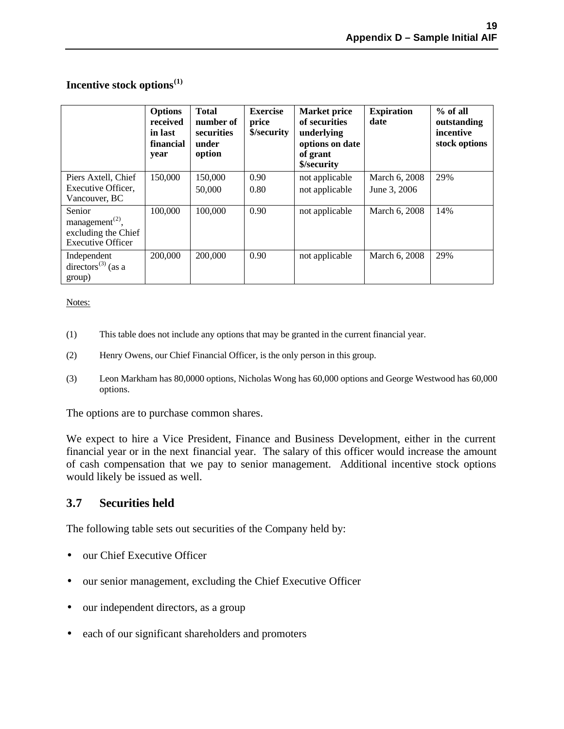### **Incentive stock options(1)**

|                                                                                          | <b>Options</b><br>received<br>in last<br>financial<br>year | <b>Total</b><br>number of<br>securities<br>under<br>option | <b>Exercise</b><br>price<br>\$/security | <b>Market price</b><br>of securities<br>underlying<br>options on date<br>of grant<br>\$/security | <b>Expiration</b><br>date     | $%$ of all<br>outstanding<br>incentive<br>stock options |
|------------------------------------------------------------------------------------------|------------------------------------------------------------|------------------------------------------------------------|-----------------------------------------|--------------------------------------------------------------------------------------------------|-------------------------------|---------------------------------------------------------|
| Piers Axtell, Chief<br>Executive Officer,<br>Vancouver, BC                               | 150,000                                                    | 150,000<br>50,000                                          | 0.90<br>0.80                            | not applicable<br>not applicable                                                                 | March 6, 2008<br>June 3, 2006 | 29%                                                     |
| Senior<br>management <sup>(2)</sup> ,<br>excluding the Chief<br><b>Executive Officer</b> | 100,000                                                    | 100,000                                                    | 0.90                                    | not applicable                                                                                   | March 6, 2008                 | 14%                                                     |
| Independent<br>directors <sup>(3)</sup> (as a<br>group)                                  | 200,000                                                    | 200,000                                                    | 0.90                                    | not applicable                                                                                   | March 6, 2008                 | 29%                                                     |

#### Notes:

- (1) This table does not include any options that may be granted in the current financial year.
- (2) Henry Owens, our Chief Financial Officer, is the only person in this group.
- (3) Leon Markham has 80,0000 options, Nicholas Wong has 60,000 options and George Westwood has 60,000 options.

The options are to purchase common shares.

We expect to hire a Vice President, Finance and Business Development, either in the current financial year or in the next financial year. The salary of this officer would increase the amount of cash compensation that we pay to senior management. Additional incentive stock options would likely be issued as well.

### **3.7 Securities held**

The following table sets out securities of the Company held by:

- our Chief Executive Officer
- our senior management, excluding the Chief Executive Officer
- our independent directors, as a group
- each of our significant shareholders and promoters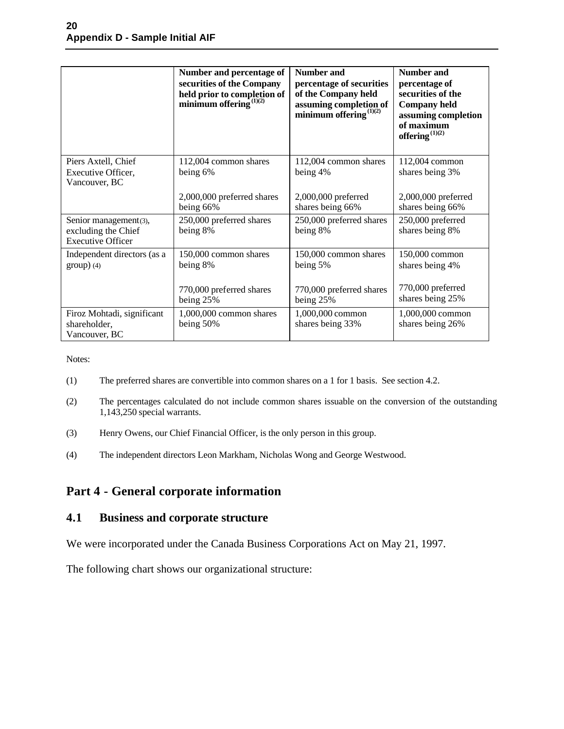|                                                                          | Number and percentage of<br>securities of the Company<br>held prior to completion of<br>minimum offering $^{(1)(2)}$ | <b>Number and</b><br>percentage of securities<br>of the Company held<br>assuming completion of<br>minimum offering $^{(1)(2)}$ | <b>Number and</b><br>percentage of<br>securities of the<br><b>Company held</b><br>assuming completion<br>of maximum<br>offering $^{(1)(2)}$ |
|--------------------------------------------------------------------------|----------------------------------------------------------------------------------------------------------------------|--------------------------------------------------------------------------------------------------------------------------------|---------------------------------------------------------------------------------------------------------------------------------------------|
| Piers Axtell, Chief<br>Executive Officer,<br>Vancouver, BC               | 112,004 common shares<br>being 6%                                                                                    | 112,004 common shares<br>being 4%                                                                                              | 112,004 common<br>shares being 3%                                                                                                           |
|                                                                          | 2,000,000 preferred shares<br>being 66%                                                                              | 2,000,000 preferred<br>shares being 66%                                                                                        | 2,000,000 preferred<br>shares being 66%                                                                                                     |
| Senior management(3),<br>excluding the Chief<br><b>Executive Officer</b> | 250,000 preferred shares<br>being 8%                                                                                 | 250,000 preferred shares<br>being 8%                                                                                           | 250,000 preferred<br>shares being 8%                                                                                                        |
| Independent directors (as a<br>$group)$ (4)                              | 150,000 common shares<br>being 8%<br>770,000 preferred shares                                                        | 150,000 common shares<br>being 5%<br>770,000 preferred shares                                                                  | 150,000 common<br>shares being 4%<br>770,000 preferred                                                                                      |
| Firoz Mohtadi, significant<br>shareholder,<br>Vancouver, BC              | being 25%<br>1,000,000 common shares<br>being 50%                                                                    | being 25%<br>1,000,000 common<br>shares being 33%                                                                              | shares being 25%<br>1,000,000 common<br>shares being 26%                                                                                    |

Notes:

- (1) The preferred shares are convertible into common shares on a 1 for 1 basis. See section 4.2.
- (2) The percentages calculated do not include common shares issuable on the conversion of the outstanding 1,143,250 special warrants.
- (3) Henry Owens, our Chief Financial Officer, is the only person in this group.
- (4) The independent directors Leon Markham, Nicholas Wong and George Westwood.

## **Part 4 - General corporate information**

### **4.1 Business and corporate structure**

We were incorporated under the Canada Business Corporations Act on May 21, 1997.

The following chart shows our organizational structure: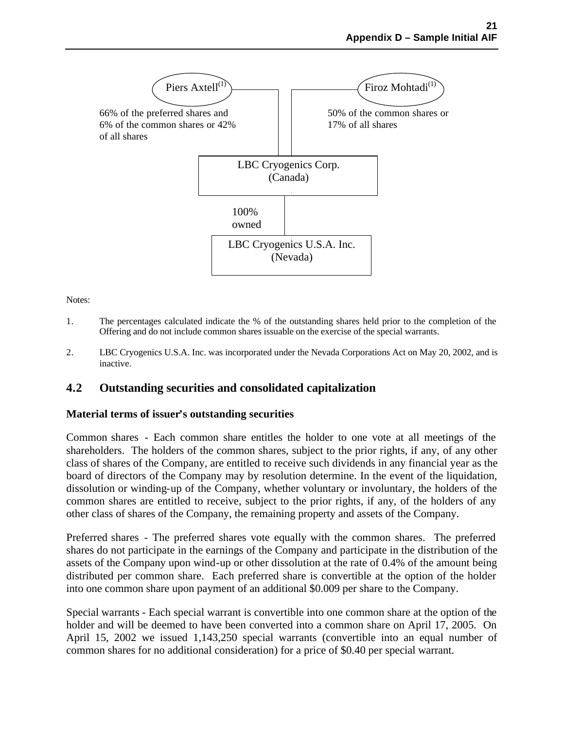

Notes:

- 1. The percentages calculated indicate the % of the outstanding shares held prior to the completion of the Offering and do not include common shares issuable on the exercise of the special warrants.
- 2. LBC Cryogenics U.S.A. Inc. was incorporated under the Nevada Corporations Act on May 20, 2002, and is inactive.

### **4.2 Outstanding securities and consolidated capitalization**

#### **Material terms of issuer's outstanding securities**

Common shares - Each common share entitles the holder to one vote at all meetings of the shareholders. The holders of the common shares, subject to the prior rights, if any, of any other class of shares of the Company, are entitled to receive such dividends in any financial year as the board of directors of the Company may by resolution determine. In the event of the liquidation, dissolution or winding-up of the Company, whether voluntary or involuntary, the holders of the common shares are entitled to receive, subject to the prior rights, if any, of the holders of any other class of shares of the Company, the remaining property and assets of the Company.

Preferred shares - The preferred shares vote equally with the common shares. The preferred shares do not participate in the earnings of the Company and participate in the distribution of the assets of the Company upon wind-up or other dissolution at the rate of 0.4% of the amount being distributed per common share. Each preferred share is convertible at the option of the holder into one common share upon payment of an additional \$0.009 per share to the Company.

Special warrants - Each special warrant is convertible into one common share at the option of the holder and will be deemed to have been converted into a common share on April 17, 2005. On April 15, 2002 we issued 1,143,250 special warrants (convertible into an equal number of common shares for no additional consideration) for a price of \$0.40 per special warrant.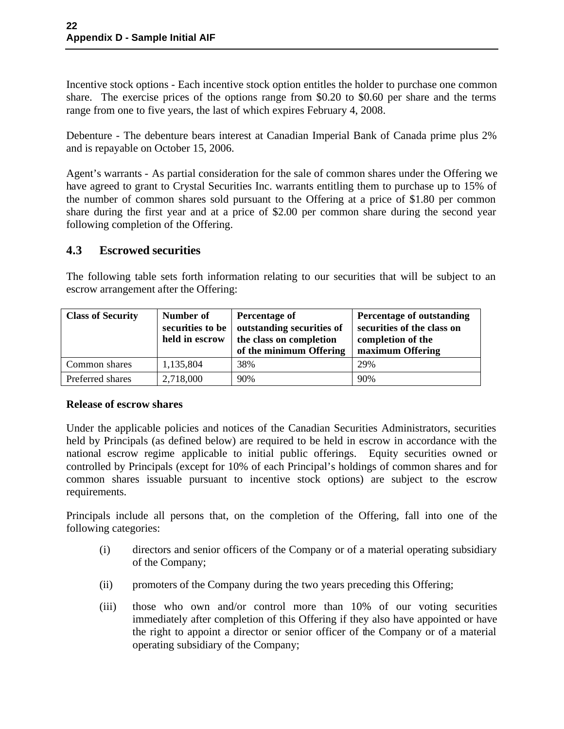Incentive stock options - Each incentive stock option entitles the holder to purchase one common share. The exercise prices of the options range from \$0.20 to \$0.60 per share and the terms range from one to five years, the last of which expires February 4, 2008.

Debenture - The debenture bears interest at Canadian Imperial Bank of Canada prime plus 2% and is repayable on October 15, 2006.

Agent's warrants - As partial consideration for the sale of common shares under the Offering we have agreed to grant to Crystal Securities Inc. warrants entitling them to purchase up to 15% of the number of common shares sold pursuant to the Offering at a price of \$1.80 per common share during the first year and at a price of \$2.00 per common share during the second year following completion of the Offering.

### **4.3 Escrowed securities**

The following table sets forth information relating to our securities that will be subject to an escrow arrangement after the Offering:

| <b>Class of Security</b> | Number of<br>securities to be<br>held in escrow | Percentage of<br>outstanding securities of<br>the class on completion<br>of the minimum Offering | Percentage of outstanding<br>securities of the class on<br>completion of the<br>maximum Offering |
|--------------------------|-------------------------------------------------|--------------------------------------------------------------------------------------------------|--------------------------------------------------------------------------------------------------|
| Common shares            | 1,135,804                                       | 38%                                                                                              | 29%                                                                                              |
| Preferred shares         | 2,718,000                                       | 90%                                                                                              | 90%                                                                                              |

#### **Release of escrow shares**

Under the applicable policies and notices of the Canadian Securities Administrators, securities held by Principals (as defined below) are required to be held in escrow in accordance with the national escrow regime applicable to initial public offerings. Equity securities owned or controlled by Principals (except for 10% of each Principal's holdings of common shares and for common shares issuable pursuant to incentive stock options) are subject to the escrow requirements.

Principals include all persons that, on the completion of the Offering, fall into one of the following categories:

- (i) directors and senior officers of the Company or of a material operating subsidiary of the Company;
- (ii) promoters of the Company during the two years preceding this Offering;
- (iii) those who own and/or control more than 10% of our voting securities immediately after completion of this Offering if they also have appointed or have the right to appoint a director or senior officer of the Company or of a material operating subsidiary of the Company;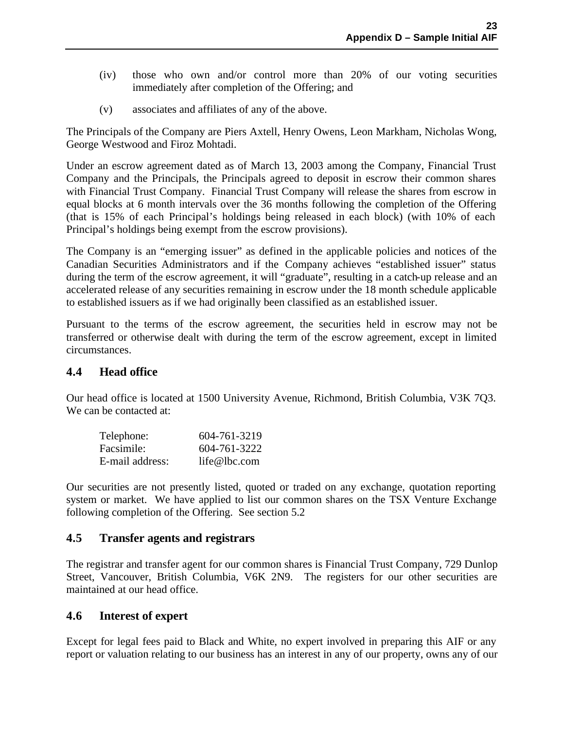- (iv) those who own and/or control more than 20% of our voting securities immediately after completion of the Offering; and
- (v) associates and affiliates of any of the above.

The Principals of the Company are Piers Axtell, Henry Owens, Leon Markham, Nicholas Wong, George Westwood and Firoz Mohtadi.

Under an escrow agreement dated as of March 13, 2003 among the Company, Financial Trust Company and the Principals, the Principals agreed to deposit in escrow their common shares with Financial Trust Company. Financial Trust Company will release the shares from escrow in equal blocks at 6 month intervals over the 36 months following the completion of the Offering (that is 15% of each Principal's holdings being released in each block) (with 10% of each Principal's holdings being exempt from the escrow provisions).

The Company is an "emerging issuer" as defined in the applicable policies and notices of the Canadian Securities Administrators and if the Company achieves "established issuer" status during the term of the escrow agreement, it will "graduate", resulting in a catch-up release and an accelerated release of any securities remaining in escrow under the 18 month schedule applicable to established issuers as if we had originally been classified as an established issuer.

Pursuant to the terms of the escrow agreement, the securities held in escrow may not be transferred or otherwise dealt with during the term of the escrow agreement, except in limited circumstances.

### **4.4 Head office**

Our head office is located at 1500 University Avenue, Richmond, British Columbia, V3K 7Q3. We can be contacted at:

| Telephone:      | 604-761-3219 |
|-----------------|--------------|
| Facsimile:      | 604-761-3222 |
| E-mail address: | life@lbc.com |

Our securities are not presently listed, quoted or traded on any exchange, quotation reporting system or market. We have applied to list our common shares on the TSX Venture Exchange following completion of the Offering. See section 5.2

# **4.5 Transfer agents and registrars**

The registrar and transfer agent for our common shares is Financial Trust Company, 729 Dunlop Street, Vancouver, British Columbia, V6K 2N9. The registers for our other securities are maintained at our head office.

### **4.6 Interest of expert**

Except for legal fees paid to Black and White, no expert involved in preparing this AIF or any report or valuation relating to our business has an interest in any of our property, owns any of our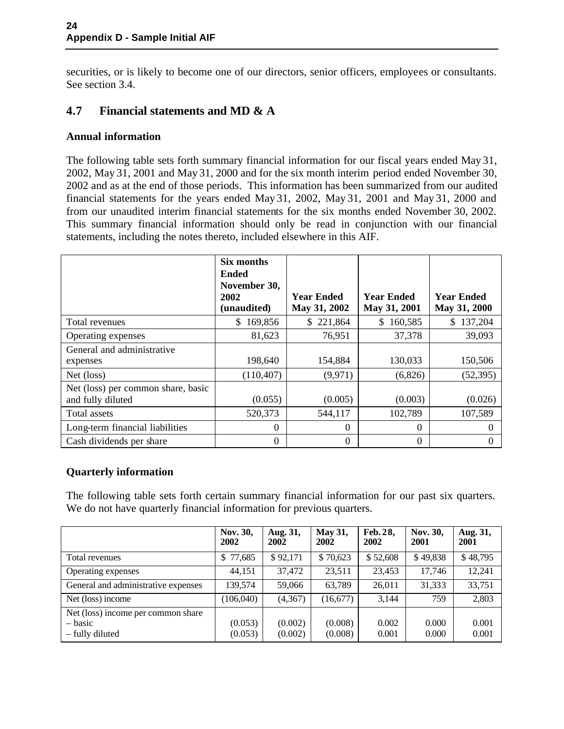securities, or is likely to become one of our directors, senior officers, employees or consultants. See section 3.4.

# **4.7 Financial statements and MD & A**

#### **Annual information**

The following table sets forth summary financial information for our fiscal years ended May 31, 2002, May 31, 2001 and May 31, 2000 and for the six month interim period ended November 30, 2002 and as at the end of those periods. This information has been summarized from our audited financial statements for the years ended May 31, 2002, May 31, 2001 and May 31, 2000 and from our unaudited interim financial statements for the six months ended November 30, 2002. This summary financial information should only be read in conjunction with our financial statements, including the notes thereto, included elsewhere in this AIF.

|                                                         | Six months<br><b>Ended</b><br>November 30,<br>2002<br>(unaudited) | <b>Year Ended</b><br>May 31, 2002 | <b>Year Ended</b><br>May 31, 2001 | <b>Year Ended</b><br>May 31, 2000 |
|---------------------------------------------------------|-------------------------------------------------------------------|-----------------------------------|-----------------------------------|-----------------------------------|
| Total revenues                                          | 169,856<br>S.                                                     | \$221,864                         | 160,585<br>S.                     | 137,204<br>\$                     |
| Operating expenses                                      | 81,623                                                            | 76,951                            | 37,378                            | 39,093                            |
| General and administrative<br>expenses                  | 198,640                                                           | 154,884                           | 130,033                           | 150,506                           |
| Net (loss)                                              | (110, 407)                                                        | (9,971)                           | (6,826)                           | (52, 395)                         |
| Net (loss) per common share, basic<br>and fully diluted | (0.055)                                                           | (0.005)                           | (0.003)                           | (0.026)                           |
| Total assets                                            | 520,373                                                           | 544,117                           | 102,789                           | 107,589                           |
| Long-term financial liabilities                         | $\boldsymbol{0}$                                                  | $\theta$                          | $\Omega$                          | $\Omega$                          |
| Cash dividends per share                                | 0                                                                 | $\theta$                          | $\Omega$                          |                                   |

### **Quarterly information**

The following table sets forth certain summary financial information for our past six quarters. We do not have quarterly financial information for previous quarters.

|                                                                  | Nov. 30,<br>2002   | Aug. 31,<br>2002   | <b>May 31,</b><br>2002 | Feb. 28,<br>2002 | Nov. 30,<br>2001 | Aug. 31,<br>2001 |
|------------------------------------------------------------------|--------------------|--------------------|------------------------|------------------|------------------|------------------|
| Total revenues                                                   | 77,685<br>\$       | \$92,171           | \$70,623               | \$52,608         | \$49,838         | \$48,795         |
| Operating expenses                                               | 44,151             | 37,472             | 23,511                 | 23,453           | 17,746           | 12,241           |
| General and administrative expenses                              | 139,574            | 59,066             | 63,789                 | 26,011           | 31,333           | 33,751           |
| Net (loss) income                                                | (106, 040)         | (4, 367)           | (16,677)               | 3.144            | 759              | 2,803            |
| Net (loss) income per common share<br>– basic<br>- fully diluted | (0.053)<br>(0.053) | (0.002)<br>(0.002) | (0.008)<br>(0.008)     | 0.002<br>0.001   | 0.000<br>0.000   | 0.001<br>0.001   |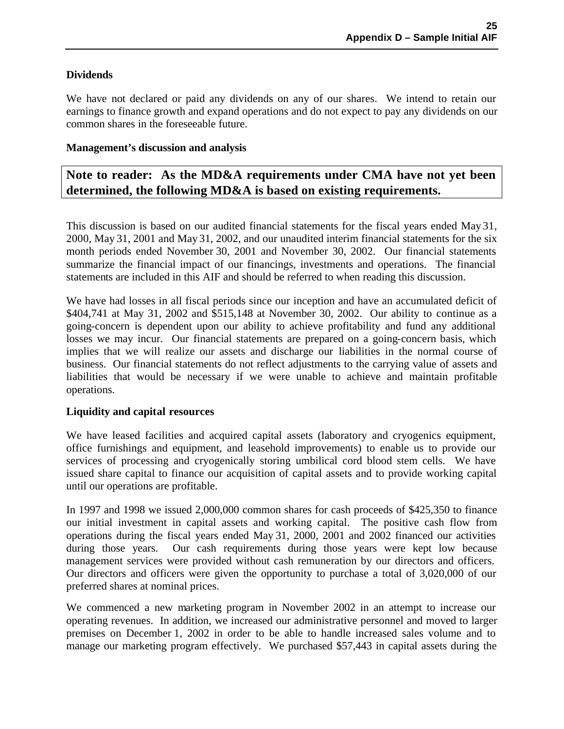### **Dividends**

We have not declared or paid any dividends on any of our shares. We intend to retain our earnings to finance growth and expand operations and do not expect to pay any dividends on our common shares in the foreseeable future.

#### **Management's discussion and analysis**

# **Note to reader: As the MD&A requirements under CMA have not yet been determined, the following MD&A is based on existing requirements.**

This discussion is based on our audited financial statements for the fiscal years ended May 31, 2000, May 31, 2001 and May 31, 2002, and our unaudited interim financial statements for the six month periods ended November 30, 2001 and November 30, 2002. Our financial statements summarize the financial impact of our financings, investments and operations. The financial statements are included in this AIF and should be referred to when reading this discussion.

We have had losses in all fiscal periods since our inception and have an accumulated deficit of \$404,741 at May 31, 2002 and \$515,148 at November 30, 2002. Our ability to continue as a going-concern is dependent upon our ability to achieve profitability and fund any additional losses we may incur. Our financial statements are prepared on a going-concern basis, which implies that we will realize our assets and discharge our liabilities in the normal course of business. Our financial statements do not reflect adjustments to the carrying value of assets and liabilities that would be necessary if we were unable to achieve and maintain profitable operations.

#### **Liquidity and capital resources**

We have leased facilities and acquired capital assets (laboratory and cryogenics equipment, office furnishings and equipment, and leasehold improvements) to enable us to provide our services of processing and cryogenically storing umbilical cord blood stem cells. We have issued share capital to finance our acquisition of capital assets and to provide working capital until our operations are profitable.

In 1997 and 1998 we issued 2,000,000 common shares for cash proceeds of \$425,350 to finance our initial investment in capital assets and working capital. The positive cash flow from operations during the fiscal years ended May 31, 2000, 2001 and 2002 financed our activities during those years. Our cash requirements during those years were kept low because management services were provided without cash remuneration by our directors and officers. Our directors and officers were given the opportunity to purchase a total of 3,020,000 of our preferred shares at nominal prices.

We commenced a new marketing program in November 2002 in an attempt to increase our operating revenues. In addition, we increased our administrative personnel and moved to larger premises on December 1, 2002 in order to be able to handle increased sales volume and to manage our marketing program effectively. We purchased \$57,443 in capital assets during the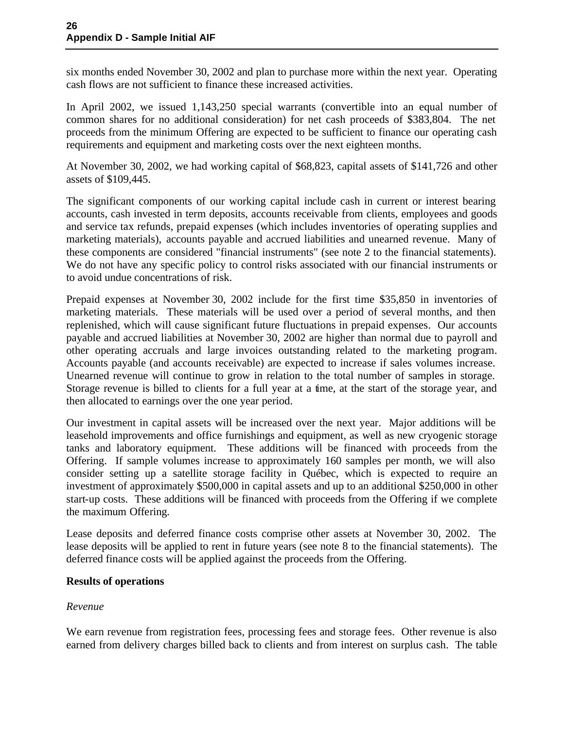six months ended November 30, 2002 and plan to purchase more within the next year. Operating cash flows are not sufficient to finance these increased activities.

In April 2002, we issued 1,143,250 special warrants (convertible into an equal number of common shares for no additional consideration) for net cash proceeds of \$383,804. The net proceeds from the minimum Offering are expected to be sufficient to finance our operating cash requirements and equipment and marketing costs over the next eighteen months.

At November 30, 2002, we had working capital of \$68,823, capital assets of \$141,726 and other assets of \$109,445.

The significant components of our working capital include cash in current or interest bearing accounts, cash invested in term deposits, accounts receivable from clients, employees and goods and service tax refunds, prepaid expenses (which includes inventories of operating supplies and marketing materials), accounts payable and accrued liabilities and unearned revenue. Many of these components are considered "financial instruments" (see note 2 to the financial statements). We do not have any specific policy to control risks associated with our financial instruments or to avoid undue concentrations of risk.

Prepaid expenses at November 30, 2002 include for the first time \$35,850 in inventories of marketing materials. These materials will be used over a period of several months, and then replenished, which will cause significant future fluctuations in prepaid expenses. Our accounts payable and accrued liabilities at November 30, 2002 are higher than normal due to payroll and other operating accruals and large invoices outstanding related to the marketing program. Accounts payable (and accounts receivable) are expected to increase if sales volumes increase. Unearned revenue will continue to grow in relation to the total number of samples in storage. Storage revenue is billed to clients for a full year at a time, at the start of the storage year, and then allocated to earnings over the one year period.

Our investment in capital assets will be increased over the next year. Major additions will be leasehold improvements and office furnishings and equipment, as well as new cryogenic storage tanks and laboratory equipment. These additions will be financed with proceeds from the Offering. If sample volumes increase to approximately 160 samples per month, we will also consider setting up a satellite storage facility in Québec, which is expected to require an investment of approximately \$500,000 in capital assets and up to an additional \$250,000 in other start-up costs. These additions will be financed with proceeds from the Offering if we complete the maximum Offering.

Lease deposits and deferred finance costs comprise other assets at November 30, 2002. The lease deposits will be applied to rent in future years (see note 8 to the financial statements). The deferred finance costs will be applied against the proceeds from the Offering.

#### **Results of operations**

#### *Revenue*

We earn revenue from registration fees, processing fees and storage fees. Other revenue is also earned from delivery charges billed back to clients and from interest on surplus cash. The table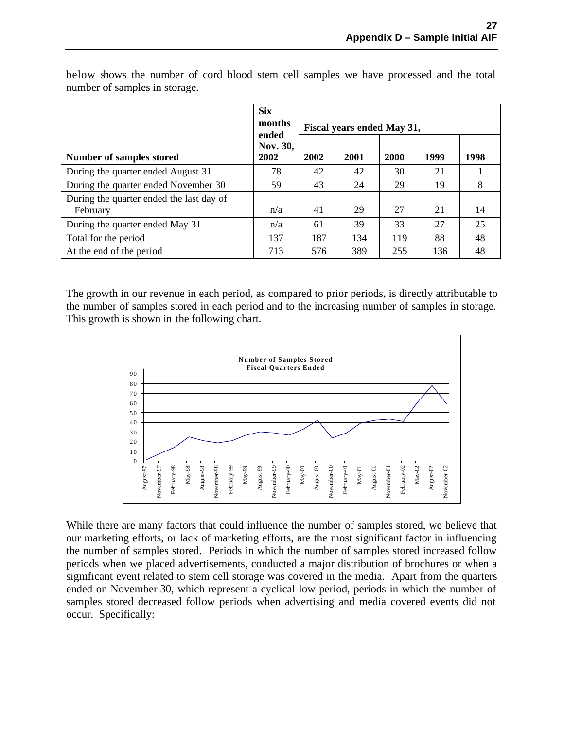|                                                      | <b>Six</b><br>months<br>ended | Fiscal years ended May 31, |      |      |      |      |  |
|------------------------------------------------------|-------------------------------|----------------------------|------|------|------|------|--|
| Number of samples stored                             | Nov. 30,<br>2002              | 2002                       | 2001 | 2000 | 1999 | 1998 |  |
| During the quarter ended August 31                   | 78                            | 42                         | 42   | 30   | 21   |      |  |
| During the quarter ended November 30                 | 59                            | 43                         | 24   | 29   | 19   | 8    |  |
| During the quarter ended the last day of<br>February | n/a                           | 41                         | 29   | 27   | 21   | 14   |  |
| During the quarter ended May 31                      | n/a                           | 61                         | 39   | 33   | 27   | 25   |  |
| Total for the period                                 | 137                           | 187                        | 134  | 119  | 88   | 48   |  |
| At the end of the period                             | 713                           | 576                        | 389  | 255  | 136  | 48   |  |

below shows the number of cord blood stem cell samples we have processed and the total number of samples in storage.

The growth in our revenue in each period, as compared to prior periods, is directly attributable to the number of samples stored in each period and to the increasing number of samples in storage. This growth is shown in the following chart.



While there are many factors that could influence the number of samples stored, we believe that our marketing efforts, or lack of marketing efforts, are the most significant factor in influencing the number of samples stored. Periods in which the number of samples stored increased follow periods when we placed advertisements, conducted a major distribution of brochures or when a significant event related to stem cell storage was covered in the media. Apart from the quarters ended on November 30, which represent a cyclical low period, periods in which the number of samples stored decreased follow periods when advertising and media covered events did not occur. Specifically: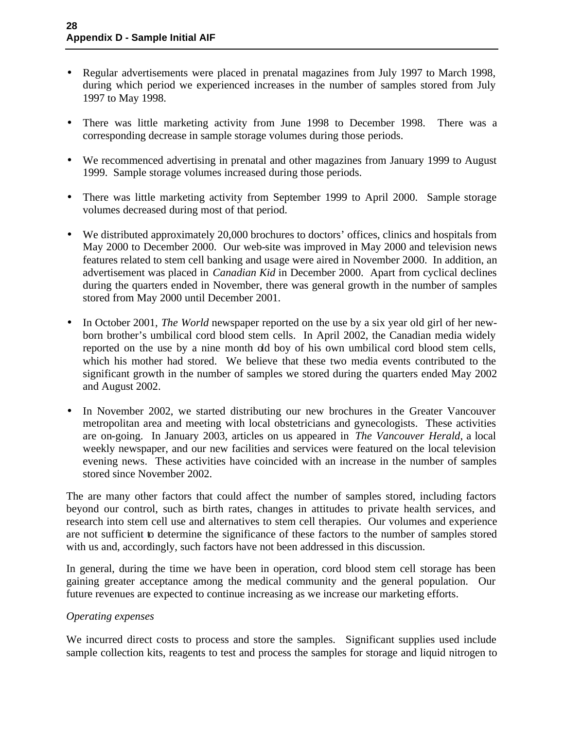- Regular advertisements were placed in prenatal magazines from July 1997 to March 1998, during which period we experienced increases in the number of samples stored from July 1997 to May 1998.
- There was little marketing activity from June 1998 to December 1998. There was a corresponding decrease in sample storage volumes during those periods.
- We recommenced advertising in prenatal and other magazines from January 1999 to August 1999. Sample storage volumes increased during those periods.
- There was little marketing activity from September 1999 to April 2000. Sample storage volumes decreased during most of that period.
- We distributed approximately 20,000 brochures to doctors' offices, clinics and hospitals from May 2000 to December 2000. Our web-site was improved in May 2000 and television news features related to stem cell banking and usage were aired in November 2000. In addition, an advertisement was placed in *Canadian Kid* in December 2000. Apart from cyclical declines during the quarters ended in November, there was general growth in the number of samples stored from May 2000 until December 2001.
- In October 2001, *The World* newspaper reported on the use by a six year old girl of her newborn brother's umbilical cord blood stem cells. In April 2002, the Canadian media widely reported on the use by a nine month old boy of his own umbilical cord blood stem cells, which his mother had stored. We believe that these two media events contributed to the significant growth in the number of samples we stored during the quarters ended May 2002 and August 2002.
- In November 2002, we started distributing our new brochures in the Greater Vancouver metropolitan area and meeting with local obstetricians and gynecologists. These activities are on-going. In January 2003, articles on us appeared in *The Vancouver Herald*, a local weekly newspaper, and our new facilities and services were featured on the local television evening news. These activities have coincided with an increase in the number of samples stored since November 2002.

The are many other factors that could affect the number of samples stored, including factors beyond our control, such as birth rates, changes in attitudes to private health services, and research into stem cell use and alternatives to stem cell therapies. Our volumes and experience are not sufficient to determine the significance of these factors to the number of samples stored with us and, accordingly, such factors have not been addressed in this discussion.

In general, during the time we have been in operation, cord blood stem cell storage has been gaining greater acceptance among the medical community and the general population. Our future revenues are expected to continue increasing as we increase our marketing efforts.

#### *Operating expenses*

We incurred direct costs to process and store the samples. Significant supplies used include sample collection kits, reagents to test and process the samples for storage and liquid nitrogen to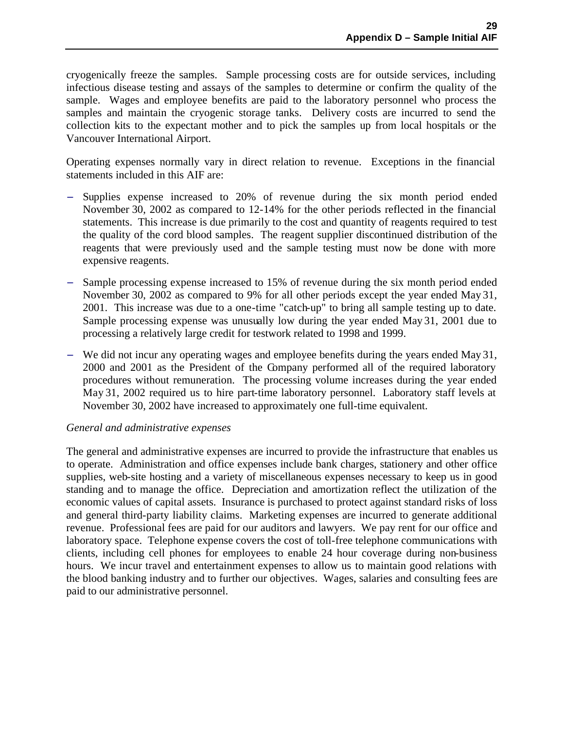cryogenically freeze the samples. Sample processing costs are for outside services, including infectious disease testing and assays of the samples to determine or confirm the quality of the sample. Wages and employee benefits are paid to the laboratory personnel who process the samples and maintain the cryogenic storage tanks. Delivery costs are incurred to send the collection kits to the expectant mother and to pick the samples up from local hospitals or the Vancouver International Airport.

Operating expenses normally vary in direct relation to revenue. Exceptions in the financial statements included in this AIF are:

- Supplies expense increased to 20% of revenue during the six month period ended November 30, 2002 as compared to 12-14% for the other periods reflected in the financial statements. This increase is due primarily to the cost and quantity of reagents required to test the quality of the cord blood samples. The reagent supplier discontinued distribution of the reagents that were previously used and the sample testing must now be done with more expensive reagents.
- Sample processing expense increased to 15% of revenue during the six month period ended November 30, 2002 as compared to 9% for all other periods except the year ended May 31, 2001. This increase was due to a one-time "catch-up" to bring all sample testing up to date. Sample processing expense was unusually low during the year ended May 31, 2001 due to processing a relatively large credit for testwork related to 1998 and 1999.
- We did not incur any operating wages and employee benefits during the years ended May 31, 2000 and 2001 as the President of the Company performed all of the required laboratory procedures without remuneration. The processing volume increases during the year ended May 31, 2002 required us to hire part-time laboratory personnel. Laboratory staff levels at November 30, 2002 have increased to approximately one full-time equivalent.

#### *General and administrative expenses*

The general and administrative expenses are incurred to provide the infrastructure that enables us to operate. Administration and office expenses include bank charges, stationery and other office supplies, web-site hosting and a variety of miscellaneous expenses necessary to keep us in good standing and to manage the office. Depreciation and amortization reflect the utilization of the economic values of capital assets. Insurance is purchased to protect against standard risks of loss and general third-party liability claims. Marketing expenses are incurred to generate additional revenue. Professional fees are paid for our auditors and lawyers. We pay rent for our office and laboratory space. Telephone expense covers the cost of toll-free telephone communications with clients, including cell phones for employees to enable 24 hour coverage during non-business hours. We incur travel and entertainment expenses to allow us to maintain good relations with the blood banking industry and to further our objectives. Wages, salaries and consulting fees are paid to our administrative personnel.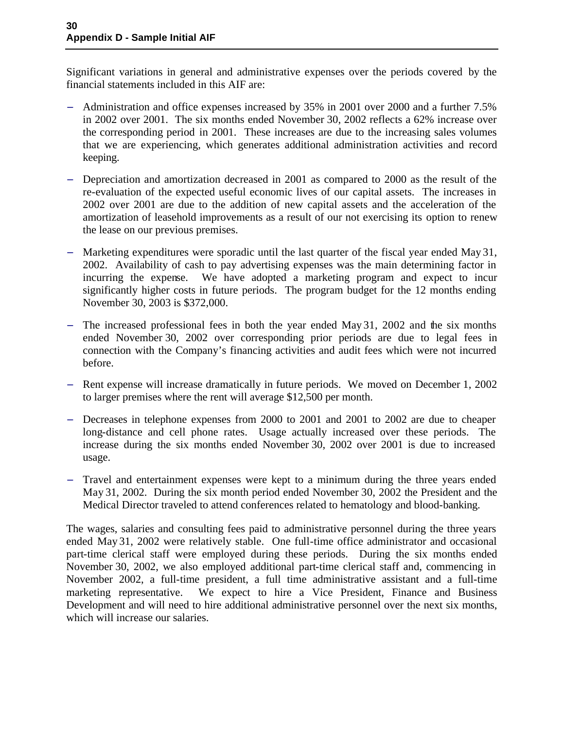Significant variations in general and administrative expenses over the periods covered by the financial statements included in this AIF are:

- − Administration and office expenses increased by 35% in 2001 over 2000 and a further 7.5% in 2002 over 2001. The six months ended November 30, 2002 reflects a 62% increase over the corresponding period in 2001. These increases are due to the increasing sales volumes that we are experiencing, which generates additional administration activities and record keeping.
- − Depreciation and amortization decreased in 2001 as compared to 2000 as the result of the re-evaluation of the expected useful economic lives of our capital assets. The increases in 2002 over 2001 are due to the addition of new capital assets and the acceleration of the amortization of leasehold improvements as a result of our not exercising its option to renew the lease on our previous premises.
- Marketing expenditures were sporadic until the last quarter of the fiscal year ended May 31, 2002. Availability of cash to pay advertising expenses was the main determining factor in incurring the expense. We have adopted a marketing program and expect to incur significantly higher costs in future periods. The program budget for the 12 months ending November 30, 2003 is \$372,000.
- The increased professional fees in both the year ended May 31, 2002 and the six months ended November 30, 2002 over corresponding prior periods are due to legal fees in connection with the Company's financing activities and audit fees which were not incurred before.
- Rent expense will increase dramatically in future periods. We moved on December 1, 2002 to larger premises where the rent will average \$12,500 per month.
- Decreases in telephone expenses from 2000 to 2001 and 2001 to 2002 are due to cheaper long-distance and cell phone rates. Usage actually increased over these periods. The increase during the six months ended November 30, 2002 over 2001 is due to increased usage.
- Travel and entertainment expenses were kept to a minimum during the three years ended May 31, 2002. During the six month period ended November 30, 2002 the President and the Medical Director traveled to attend conferences related to hematology and blood-banking.

The wages, salaries and consulting fees paid to administrative personnel during the three years ended May 31, 2002 were relatively stable. One full-time office administrator and occasional part-time clerical staff were employed during these periods. During the six months ended November 30, 2002, we also employed additional part-time clerical staff and, commencing in November 2002, a full-time president, a full time administrative assistant and a full-time marketing representative. We expect to hire a Vice President, Finance and Business Development and will need to hire additional administrative personnel over the next six months, which will increase our salaries.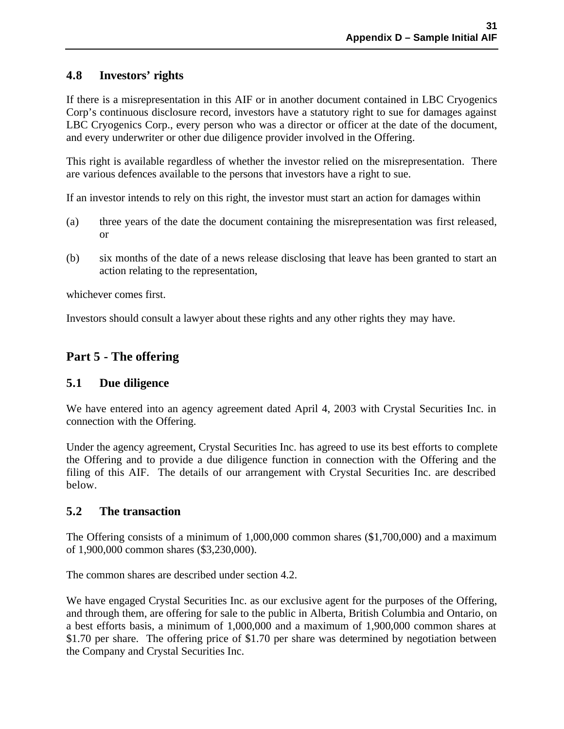# **4.8 Investors' rights**

If there is a misrepresentation in this AIF or in another document contained in LBC Cryogenics Corp's continuous disclosure record, investors have a statutory right to sue for damages against LBC Cryogenics Corp., every person who was a director or officer at the date of the document, and every underwriter or other due diligence provider involved in the Offering.

This right is available regardless of whether the investor relied on the misrepresentation. There are various defences available to the persons that investors have a right to sue.

If an investor intends to rely on this right, the investor must start an action for damages within

- (a) three years of the date the document containing the misrepresentation was first released, or
- (b) six months of the date of a news release disclosing that leave has been granted to start an action relating to the representation,

whichever comes first.

Investors should consult a lawyer about these rights and any other rights they may have.

# **Part 5 - The offering**

# **5.1 Due diligence**

We have entered into an agency agreement dated April 4, 2003 with Crystal Securities Inc. in connection with the Offering.

Under the agency agreement, Crystal Securities Inc. has agreed to use its best efforts to complete the Offering and to provide a due diligence function in connection with the Offering and the filing of this AIF. The details of our arrangement with Crystal Securities Inc. are described below.

### **5.2 The transaction**

The Offering consists of a minimum of 1,000,000 common shares (\$1,700,000) and a maximum of 1,900,000 common shares (\$3,230,000).

The common shares are described under section 4.2.

We have engaged Crystal Securities Inc. as our exclusive agent for the purposes of the Offering, and through them, are offering for sale to the public in Alberta, British Columbia and Ontario, on a best efforts basis, a minimum of 1,000,000 and a maximum of 1,900,000 common shares at \$1.70 per share. The offering price of \$1.70 per share was determined by negotiation between the Company and Crystal Securities Inc.